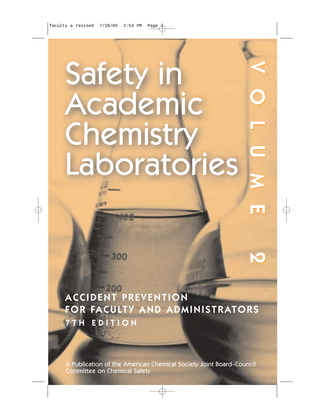# Safety in Academic Chemistry Laboratories

VOLUME 2

l punt

 $\Box$ 

ACCIDENT PREVENTION FOR FACULTY AND ADMINISTRATORS 7TH EDITION

300

A Publication of the American Chemical Society Joint Board–Council Committee on Chemical Safety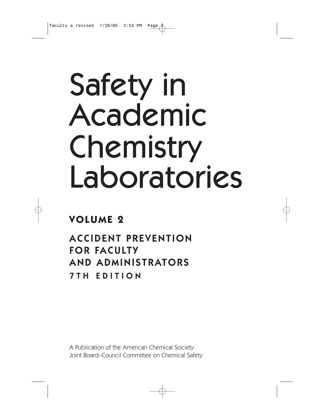# Safety in Academic Chemistry Laboratories

# **VOLUME 2**

ACCIDENT PREVENTION FOR FACULTY AND ADMINISTRATORS 7TH EDITION

A Publication of the American Chemical Society Joint Board–Council Committee on Chemical Safety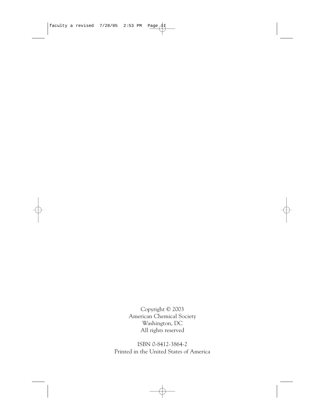Copyright © 2003 American Chemical Society Washington, DC All rights reserved

ISBN 0-8412-3864-2 Printed in the United States of America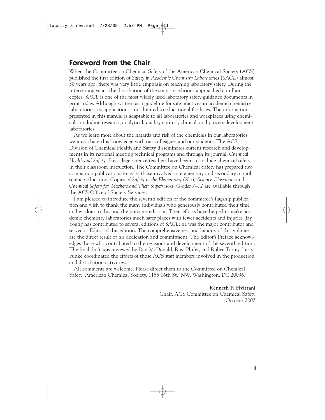### **Foreword from the Chair**

When the Committee on Chemical Safety of the American Chemical Society (ACS) published the first edition of *Safety in Academic Chemistry Laboratories* (*SACL*) almost 30 years ago, there was very little emphasis on teaching laboratory safety. During the intervening years, the distribution of the six prior editions approached a million copies. *SACL* is one of the most widely used laboratory safety guidance documents in print today. Although written as a guideline for safe practices in academic chemistry laboratories, its application is not limited to educational facilities. The information presented in this manual is adaptable to all laboratories and workplaces using chemicals, including research, analytical, quality control, clinical, and process development laboratories.

As we learn more about the hazards and risk of the chemicals in our laboratories, we must share this knowledge with our colleagues and our students. The ACS Division of Chemical Health and Safety disseminates current research and developments in its national meeting technical programs and through its journal, *Chemical Health and Safety*. Precollege science teachers have begun to include chemical safety in their classroom instruction. The Committee on Chemical Safety has prepared two companion publications to assist those involved in elementary and secondary school science education. Copies of *Safety in the Elementary (K–6) Science Classroom* and *Chemical Safety for Teachers and Their Supervisors: Grades 7–12* are available through the ACS Office of Society Services.

I am pleased to introduce the seventh edition of the committee's flagship publication and wish to thank the many individuals who generously contributed their time and wisdom to this and the previous editions. Their efforts have helped to make academic chemistry laboratories much safer places with fewer accidents and injuries. Jay Young has contributed to several editions of *SACL*; he was the major contributor and served as Editor of this edition. The comprehensiveness and lucidity of this volume are the direct result of his dedication and commitment. The Editor's Preface acknowledges those who contributed to the revisions and development of the seventh edition. The final draft was reviewed by Dan McDonald, Russ Phifer, and Rubye Torrey. Larry Funke coordinated the efforts of those ACS staff members involved in the production and distribution activities.

All comments are welcome. Please direct them to the Committee on Chemical Safety, American Chemical Society, 1155 16th St., NW, Washington, DC 20036.

> **Kenneth P. Fivizzani** Chair, ACS Committee on Chemical Safety October 2002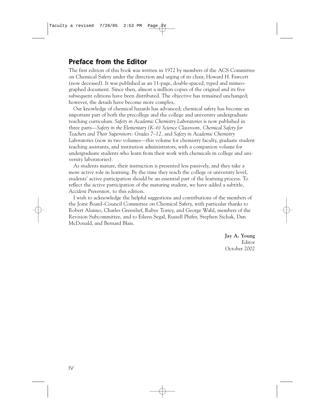# **Preface from the Editor**

The first edition of this book was written in 1972 by members of the ACS Committee on Chemical Safety under the direction and urging of its chair, Howard H. Fawcett (now deceased). It was published as an 11-page, double-spaced, typed and mimeographed document. Since then, almost a million copies of the original and its five subsequent editions have been distributed. The objective has remained unchanged; however, the details have become more complex.

Our knowledge of chemical hazards has advanced; chemical safety has become an important part of both the precollege and the college and university undergraduate teaching curriculum. *Safety in Academic Chemistry Laboratories* is now published in three parts—*Safety in the Elementary (K–6) Science Classroom, Chemical Safety for Teachers and Their Supervisors: Grades 7–12,* and *Safety in Academic Chemistry Laboratories* (now in two volumes—this volume for chemistry faculty, graduate student teaching assistants, and institution administrators, with a companion volume for undergraduate students who learn from their work with chemicals in college and university laboratories).

As students mature, their instruction is presented less passively, and they take a more active role in learning. By the time they reach the college or university level, students' active participation should be an essential part of the learning process. To reflect the active participation of the maturing student, we have added a subtitle, *Accident Prevention,* to this edition.

I wish to acknowledge the helpful suggestions and contributions of the members of the Joint Board–Council Committee on Chemical Safety, with particular thanks to Robert Alaimo, Charles Greenlief, Rubye Torrey, and George Wahl, members of the Revision Subcommittee, and to Eileen Segal, Russell Phifer, Stephen Sichak, Dan McDonald, and Bernard Blais.

> **Jay A. Young** Editor October 2002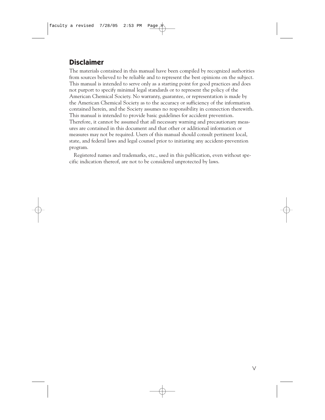# **Disclaimer**

The materials contained in this manual have been compiled by recognized authorities from sources believed to be reliable and to represent the best opinions on the subject. This manual is intended to serve only as a starting point for good practices and does not purport to specify minimal legal standards or to represent the policy of the American Chemical Society. No warranty, guarantee, or representation is made by the American Chemical Society as to the accuracy or sufficiency of the information contained herein, and the Society assumes no responsibility in connection therewith. This manual is intended to provide basic guidelines for accident prevention. Therefore, it cannot be assumed that all necessary warning and precautionary measures are contained in this document and that other or additional information or measures may not be required. Users of this manual should consult pertinent local, state, and federal laws and legal counsel prior to initiating any accident-prevention program.

Registered names and trademarks, etc., used in this publication, even without specific indication thereof, are not to be considered unprotected by laws.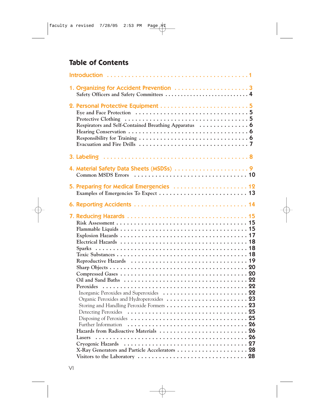# **Table of Contents**

| 1. Organizing for Accident Prevention 3                                                                                                                                       |  |
|-------------------------------------------------------------------------------------------------------------------------------------------------------------------------------|--|
| Respirators and Self-Contained Breathing Apparatus  6<br>Evacuation and Fire Drills $\dots \dots \dots \dots \dots \dots \dots \dots \dots \dots \dots$                       |  |
|                                                                                                                                                                               |  |
|                                                                                                                                                                               |  |
| 5. Preparing for Medical Emergencies  12                                                                                                                                      |  |
|                                                                                                                                                                               |  |
| Detecting Peroxides<br>Disposing of Peroxides $\dots\dots\dots\dots\dots\dots\dots\dots\dots\dots$<br>Further Information<br>Hazards from Radioactive Materials  26<br>Lasers |  |
| Cryogenic Hazards<br>X-Ray Generators and Particle Accelerators  28<br>Visitors to the Laboratory $\dots \dots \dots \dots \dots \dots \dots \dots \dots \dots \dots \dots$   |  |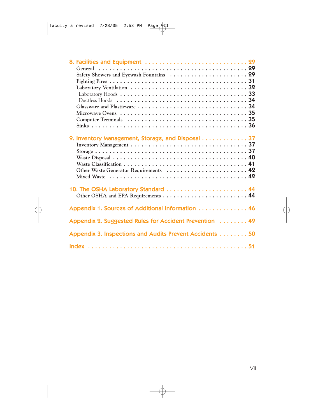| Laboratory Hoods $\dots\dots\dots\dots\dots\dots\dots\dots\dots\dots\dots\dots$ |  |
|---------------------------------------------------------------------------------|--|
| Ductless Hoods $\dots\dots\dots\dots\dots\dots\dots\dots\dots\dots\dots\dots$   |  |
|                                                                                 |  |
|                                                                                 |  |
|                                                                                 |  |
|                                                                                 |  |
|                                                                                 |  |
| 9. Inventory Management, Storage, and Disposal 37                               |  |
| Inventory Management $\dots\dots\dots\dots\dots\dots\dots\dots\dots\dots\dots$  |  |
|                                                                                 |  |
|                                                                                 |  |
|                                                                                 |  |
| Other Waste Generator Requirements  42                                          |  |
|                                                                                 |  |
|                                                                                 |  |
| 10. The OSHA Laboratory Standard  44                                            |  |
|                                                                                 |  |
|                                                                                 |  |
| Appendix 1. Sources of Additional Information 46                                |  |
|                                                                                 |  |
| Appendix 2. Suggested Rules for Accident Prevention 49                          |  |
|                                                                                 |  |
| Appendix 3. Inspections and Audits Prevent Accidents 50                         |  |
|                                                                                 |  |
|                                                                                 |  |
|                                                                                 |  |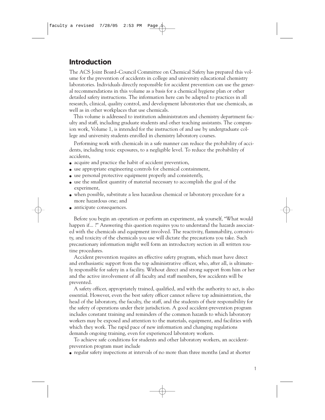## **Introduction**

The ACS Joint Board–Council Committee on Chemical Safety has prepared this volume for the prevention of accidents in college and university educational chemistry laboratories. Individuals directly responsible for accident prevention can use the general recommendations in this volume as a basis for a chemical hygiene plan or other detailed safety instructions. The information here can be adapted to practices in all research, clinical, quality control, and development laboratories that use chemicals, as well as in other workplaces that use chemicals.

This volume is addressed to institution administrators and chemistry department faculty and staff, including graduate students and other teaching assistants. The companion work, Volume 1, is intended for the instruction of and use by undergraduate college and university students enrolled in chemistry laboratory courses.

Performing work with chemicals in a safe manner can reduce the probability of accidents, including toxic exposures, to a negligible level. To reduce the probability of accidents,

- acquire and practice the habit of accident prevention,
- use appropriate engineering controls for chemical containment,
- use personal protective equipment properly and consistently,
- use the smallest quantity of material necessary to accomplish the goal of the experiment,
- when possible, substitute a less hazardous chemical or laboratory procedure for a more hazardous one; and
- anticipate consequences.

Before you begin an operation or perform an experiment, ask yourself, "What would happen if... ?" Answering this question requires you to understand the hazards associated with the chemicals and equipment involved. The reactivity, flammability, corrosivity, and toxicity of the chemicals you use will dictate the precautions you take. Such precautionary information might well form an introductory section in all written routine procedures.

Accident prevention requires an effective safety program, which must have direct and enthusiastic support from the top administrative officer, who, after all, is ultimately responsible for safety in a facility. Without direct and strong support from him or her and the active involvement of all faculty and staff members, few accidents will be prevented.

A safety officer, appropriately trained, qualified, and with the authority to act, is also essential. However, even the best safety officer cannot relieve top administration, the head of the laboratory, the faculty, the staff, and the students of their responsibility for the safety of operations under their jurisdiction. A good accident-prevention program includes constant training and reminders of the common hazards to which laboratory workers may be exposed and attention to the materials, equipment, and facilities with which they work. The rapid pace of new information and changing regulations demands ongoing training, even for experienced laboratory workers.

To achieve safe conditions for students and other laboratory workers, an accidentprevention program must include

● regular safety inspections at intervals of no more than three months (and at shorter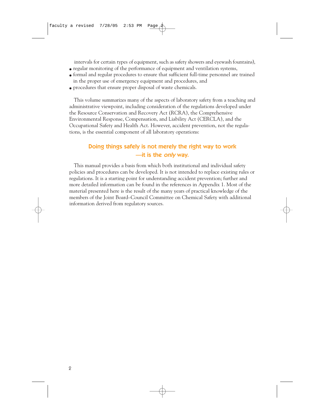intervals for certain types of equipment, such as safety showers and eyewash fountains),

- regular monitoring of the performance of equipment and ventilation systems,
- formal and regular procedures to ensure that sufficient full-time personnel are trained in the proper use of emergency equipment and procedures, and
- procedures that ensure proper disposal of waste chemicals.

This volume summarizes many of the aspects of laboratory safety from a teaching and administrative viewpoint, including consideration of the regulations developed under the Resource Conservation and Recovery Act (RCRA), the Comprehensive Environmental Response, Compensation, and Liability Act (CERCLA), and the Occupational Safety and Health Act. However, accident prevention, not the regulations, is the essential component of all laboratory operations:

#### Doing things safely is not merely the right way to work —it is the only way.

This manual provides a basis from which both institutional and individual safety policies and procedures can be developed. It is not intended to replace existing rules or regulations. It is a starting point for understanding accident prevention; further and more detailed information can be found in the references in Appendix 1. Most of the material presented here is the result of the many years of practical knowledge of the members of the Joint Board–Council Committee on Chemical Safety with additional information derived from regulatory sources.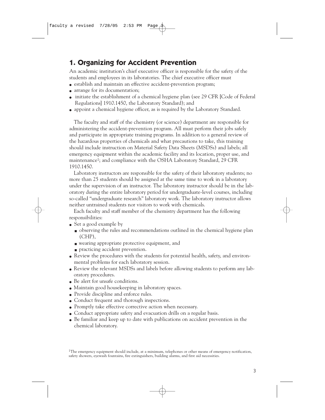# **1. Organizing for Accident Prevention**

An academic institution's chief executive officer is responsible for the safety of the students and employees in its laboratories. The chief executive officer must

- establish and maintain an effective accident-prevention program;
- arrange for its documentation;
- initiate the establishment of a chemical hygiene plan (see 29 CFR [Code of Federal Regulations] 1910.1450, the Laboratory Standard); and
- appoint a chemical hygiene officer, as is required by the Laboratory Standard.

The faculty and staff of the chemistry (or science) department are responsible for administering the accident-prevention program. All must perform their jobs safely and participate in appropriate training programs. In addition to a general review of the hazardous properties of chemicals and what precautions to take, this training should include instruction on Material Safety Data Sheets (MSDSs) and labels; all emergency equipment within the academic facility and its location, proper use, and maintenance1; and compliance with the OSHA Laboratory Standard, 29 CFR 1910.1450.

Laboratory instructors are responsible for the safety of their laboratory students; no more than 25 students should be assigned at the same time to work in a laboratory under the supervision of an instructor. The laboratory instructor should be in the laboratory during the entire laboratory period for undergraduate-level courses, including so-called "undergraduate research" laboratory work. The laboratory instructor allows neither untrained students nor visitors to work with chemicals.

Each faculty and staff member of the chemistry department has the following responsibilities:

- Set a good example by
	- observing the rules and recommendations outlined in the chemical hygiene plan (CHP),
	- wearing appropriate protective equipment, and
	- practicing accident prevention.
- Review the procedures with the students for potential health, safety, and environmental problems for each laboratory session.
- Review the relevant MSDSs and labels before allowing students to perform any laboratory procedures.
- Be alert for unsafe conditions.
- Maintain good housekeeping in laboratory spaces.
- Provide discipline and enforce rules.
- Conduct frequent and thorough inspections.
- Promptly take effective corrective action when necessary.
- Conduct appropriate safety and evacuation drills on a regular basis.
- Be familiar and keep up to date with publications on accident prevention in the chemical laboratory.

<sup>1</sup>The emergency equipment should include, at a minimum, telephones or other means of emergency notification, safety showers, eyewash fountains, fire extinguishers, building alarms, and first aid necessities.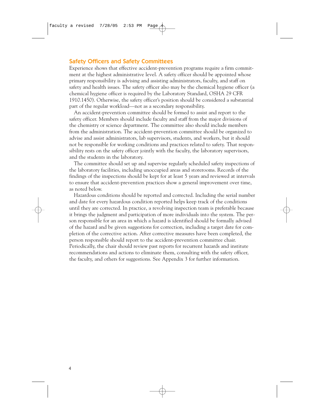#### Safety Officers and Safety Committees

Experience shows that effective accident-prevention programs require a firm commitment at the highest administrative level. A safety officer should be appointed whose primary responsibility is advising and assisting administrators, faculty, and staff on safety and health issues. The safety officer also may be the chemical hygiene officer (a chemical hygiene officer is required by the Laboratory Standard, OSHA 29 CFR 1910.1450). Otherwise, the safety officer's position should be considered a substantial part of the regular workload—not as a secondary responsibility.

An accident-prevention committee should be formed to assist and report to the safety officer. Members should include faculty and staff from the major divisions of the chemistry or science department. The committee also should include members from the administration. The accident-prevention committee should be organized to advise and assist administrators, lab supervisors, students, and workers, but it should not be responsible for working conditions and practices related to safety. That responsibility rests on the safety officer jointly with the faculty, the laboratory supervisors, and the students in the laboratory.

The committee should set up and supervise regularly scheduled safety inspections of the laboratory facilities, including unoccupied areas and storerooms. Records of the findings of the inspections should be kept for at least 5 years and reviewed at intervals to ensure that accident-prevention practices show a general improvement over time, as noted below.

Hazardous conditions should be reported and corrected. Including the serial number and date for every hazardous condition reported helps keep track of the conditions until they are corrected. In practice, a revolving inspection team is preferable because it brings the judgment and participation of more individuals into the system. The person responsible for an area in which a hazard is identified should be formally advised of the hazard and be given suggestions for correction, including a target date for completion of the corrective action. After corrective measures have been completed, the person responsible should report to the accident-prevention committee chair. Periodically, the chair should review past reports for recurrent hazards and institute recommendations and actions to eliminate them, consulting with the safety officer, the faculty, and others for suggestions. See Appendix 3 for further information.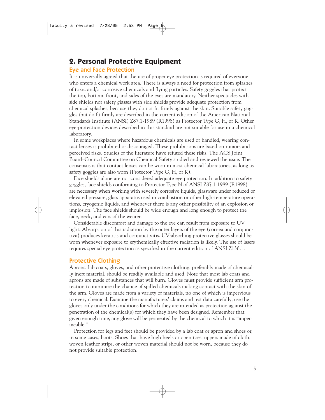## **2. Personal Protective Equipment**

#### Eye and Face Protection

It is universally agreed that the use of proper eye protection is required of everyone who enters a chemical work area. There is always a need for protection from splashes of toxic and/or corrosive chemicals and flying particles. Safety goggles that protect the top, bottom, front, and sides of the eyes are mandatory. Neither spectacles with side shields nor safety glasses with side shields provide adequate protection from chemical splashes, because they do not fit firmly against the skin. Suitable safety goggles that do fit firmly are described in the current edition of the American National Standards Institute (ANSI) Z87.1-1989 (R1998) as Protector Type G, H, or K. Other eye-protection devices described in this standard are not suitable for use in a chemical laboratory.

In some workplaces where hazardous chemicals are used or handled, wearing contact lenses is prohibited or discouraged. These prohibitions are based on rumors and perceived risks. Studies of the literature have refuted these risks. The ACS Joint Board–Council Committee on Chemical Safety studied and reviewed the issue. The consensus is that contact lenses can be worn in most chemical laboratories, as long as safety goggles are also worn (Protector Type G, H, or K).

Face shields alone are not considered adequate eye protection. In addition to safety goggles, face shields conforming to Protector Type N of ANSI Z87.1-1989 (R1998) are necessary when working with severely corrosive liquids, glassware under reduced or elevated pressure, glass apparatus used in combustion or other high-temperature operations, cryogenic liquids, and whenever there is any other possibility of an explosion or implosion. The face shields should be wide enough and long enough to protect the face, neck, and ears of the wearer.

Considerable discomfort and damage to the eye can result from exposure to UV light. Absorption of this radiation by the outer layers of the eye (cornea and conjunctiva) produces keratitis and conjunctivitis. UV-absorbing protective glasses should be worn whenever exposure to erythemically effective radiation is likely. The use of lasers requires special eye protection as specified in the current edition of ANSI Z136.1.

#### Protective Clothing

Aprons, lab coats, gloves, and other protective clothing, preferably made of chemically inert material, should be readily available and used. Note that most lab coats and aprons are made of substances that will burn. Gloves must provide sufficient arm protection to minimize the chance of spilled chemicals making contact with the skin of the arm. Gloves are made from a variety of materials, no one of which is impervious to every chemical. Examine the manufacturers' claims and test data carefully; use the gloves only under the conditions for which they are intended as protection against the penetration of the chemical(s) for which they have been designed. Remember that given enough time, any glove will be permeated by the chemical to which it is "impermeable."

Protection for legs and feet should be provided by a lab coat or apron and shoes or, in some cases, boots. Shoes that have high heels or open toes, uppers made of cloth, woven leather strips, or other woven material should not be worn, because they do not provide suitable protection.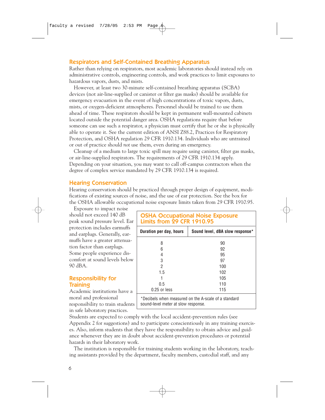#### Respirators and Self-Contained Breathing Apparatus

Rather than relying on respirators, most academic laboratories should instead rely on administrative controls, engineering controls, and work practices to limit exposures to hazardous vapors, dusts, and mists.

However, at least two 30-minute self-contained breathing apparatus (SCBA) devices (not air-line-supplied or canister or filter gas masks) should be available for emergency evacuation in the event of high concentrations of toxic vapors, dusts, mists, or oxygen-deficient atmospheres. Personnel should be trained to use them ahead of time. These respirators should be kept in permanent wall-mounted cabinets located outside the potential danger area. OSHA regulations require that before someone can use such a respirator, a physician must certify that he or she is physically able to operate it. See the current edition of ANSI Z88.2, Practices for Respiratory Protection, and OSHA regulation 29 CFR 1910.134. Individuals who are untrained or out of practice should *not* use them, even during an emergency.

Cleanup of a medium to large toxic spill may require using canister, filter gas masks, or air-line-supplied respirators. The requirements of 29 CFR 1910.134 apply. Depending on your situation, you may want to call off-campus contractors when the degree of complex service mandated by 29 CFR 1910.134 is required.

#### Hearing Conservation

Hearing conservation should be practiced through proper design of equipment, modifications of existing sources of noise, and the use of ear protection. See the box for the OSHA allowable occupational noise exposure limits taken from 29 CFR 1910.95.

Exposure to impact noise should not exceed 140 dB peak sound pressure level. Ear protection includes earmuffs and earplugs. Generally, earmuffs have a greater attenuation factor than earplugs. Some people experience discomfort at sound levels below 90 dBA.

#### Responsibility for **Training**

Academic institutions have a moral and professional responsibility to train students in safe laboratory practices.

| <b>OSHA Occupational Noise Exposure</b><br><b>Limits from 29 CFR 1910.95</b> |                                 |  |  |  |  |
|------------------------------------------------------------------------------|---------------------------------|--|--|--|--|
| Duration per day, hours                                                      | Sound level, dBA slow response* |  |  |  |  |
| 8                                                                            | 90                              |  |  |  |  |
| 6                                                                            | 92                              |  |  |  |  |
| 4                                                                            | 95                              |  |  |  |  |
| 3                                                                            | 97                              |  |  |  |  |
| 2                                                                            | 100                             |  |  |  |  |
| 1.5                                                                          | 102                             |  |  |  |  |
|                                                                              | 105                             |  |  |  |  |
| 0.5                                                                          | 110                             |  |  |  |  |
| $0.25$ or less                                                               | 115                             |  |  |  |  |
| *Decibels when measured on the A-scale of a standard                         |                                 |  |  |  |  |

sound-level meter at slow response.

Students are expected to comply with the local accident-prevention rules (see Appendix 2 for suggestions) and to participate conscientiously in any training exercises. Also, inform students that they have the responsibility to obtain advice and guidance whenever they are in doubt about accident-prevention procedures or potential hazards in their laboratory work.

The institution is responsible for training students working in the laboratory, teaching assistants provided by the department, faculty members, custodial staff, and any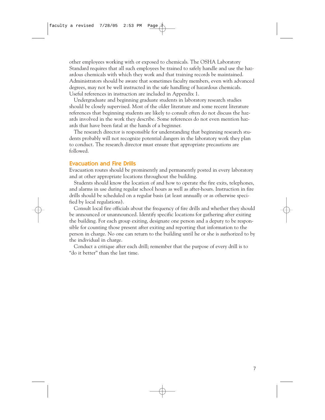other employees working with or exposed to chemicals. The OSHA Laboratory Standard requires that all such employees be trained to safely handle and use the hazardous chemicals with which they work and that training records be maintained. Administrators should be aware that sometimes faculty members, even with advanced degrees, may not be well instructed in the safe handling of hazardous chemicals. Useful references in instruction are included in Appendix 1.

Undergraduate and beginning graduate students in laboratory research studies should be closely supervised. Most of the older literature and some recent literature references that beginning students are likely to consult often do not discuss the hazards involved in the work they describe. Some references do not even mention hazards that have been fatal at the hands of a beginner.

The research director is responsible for understanding that beginning research students probably will not recognize potential dangers in the laboratory work they plan to conduct. The research director must ensure that appropriate precautions are followed.

#### Evacuation and Fire Drills

Evacuation routes should be prominently and permanently posted in every laboratory and at other appropriate locations throughout the building.

Students should know the location of and how to operate the fire exits, telephones, and alarms in use during regular school hours as well as after-hours. Instruction in fire drills should be scheduled on a regular basis (at least annually or as otherwise specified by local regulations).

Consult local fire officials about the frequency of fire drills and whether they should be announced or unannounced. Identify specific locations for gathering after exiting the building. For each group exiting, designate one person and a deputy to be responsible for counting those present after exiting and reporting that information to the person in charge. No one can return to the building until he or she is authorized to by the individual in charge.

Conduct a critique after each drill; remember that the purpose of every drill is to "do it better" than the last time.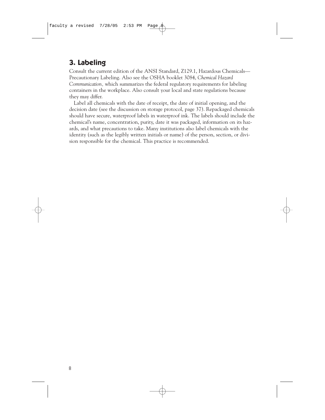# **3. Labeling**

Consult the current edition of the ANSI Standard, Z129.1, Hazardous Chemicals— Precautionary Labeling. Also see the OSHA booklet 3084, *Chemical Hazard Communication,* which summarizes the federal regulatory requirements for labeling containers in the workplace. Also consult your local and state regulations because they may differ.

Label all chemicals with the date of receipt, the date of initial opening, and the decision date (see the discussion on storage protocol, page 37). Repackaged chemicals should have secure, waterproof labels in waterproof ink. The labels should include the chemical's name, concentration, purity, date it was packaged, information on its hazards, and what precautions to take. Many institutions also label chemicals with the identity (such as the legibly written initials or name) of the person, section, or division responsible for the chemical. This practice is recommended.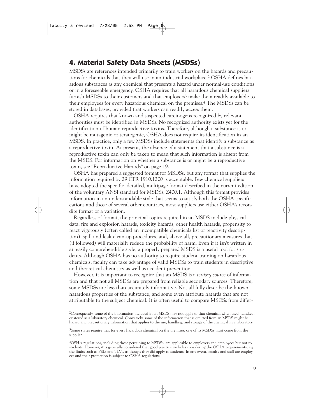## **4. Material Safety Data Sheets (MSDSs)**

MSDSs are references intended primarily to train workers on the hazards and precautions for chemicals that they will use in an industrial workplace.2 OSHA defines hazardous substances as any chemical that presents a hazard under normal-use conditions or in a foreseeable emergency. OSHA requires that all hazardous chemical suppliers furnish MSDSs to their customers and that employers<sup>3</sup> make them readily available to their employees for every hazardous chemical on the premises.4 The MSDSs can be stored in databases, provided that workers can readily access them.

OSHA requires that known and suspected carcinogens recognized by relevant authorities must be identified in MSDSs. No recognized authority exists yet for the identification of human reproductive toxins. Therefore, although a substance is or might be mutagenic or teratogenic, OSHA does not require its identification in an MSDS. In practice, only a few MSDSs include statements that identify a substance as a reproductive toxin. At present, the absence of a statement that a substance is a reproductive toxin can only be taken to mean that such information is absent from the MSDS. For information on whether a substance is or might be a reproductive toxin, see "Reproductive Hazards" on page 19.

OSHA has prepared a suggested format for MSDSs, but any format that supplies the information required by 29 CFR 1910.1200 is acceptable. Few chemical suppliers have adopted the specific, detailed, multipage format described in the current edition of the voluntary ANSI standard for MSDSs, Z400.1. Although this format provides information in an understandable style that seems to satisfy both the OSHA specifications and those of several other countries, most suppliers use either OSHA's recondite format or a variation.

Regardless of format, the principal topics required in an MSDS include physical data, fire and explosion hazards, toxicity hazards, other health hazards, propensity to react vigorously (often called an incompatible chemicals list or reactivity description), spill and leak clean-up procedures, and, above all, precautionary measures that (if followed) will materially reduce the probability of harm. Even if it isn't written in an easily comprehendible style, a properly prepared MSDS is a useful tool for students. Although OSHA has no authority to require student training on hazardous chemicals, faculty can take advantage of valid MSDSs to train students in descriptive and theoretical chemistry as well as accident prevention.

However, it is important to recognize that an MSDS is a *tertiary source* of information and that not all MSDSs are prepared from reliable secondary sources. Therefore, some MSDSs are less than accurately informative. Not all fully describe the known hazardous properties of the substance, and some even attribute hazards that are not attributable to the subject chemical. It is often useful to compare MSDSs from differ-

<sup>2</sup>Consequently, some of the information included in an MSDS may not apply to that chemical when used, handled, or stored as a laboratory chemical. Conversely, some of the information that is omitted from an MSDS might be hazard and precautionary information that applies to the use, handling, and storage of the chemical in a laboratory.

<sup>&</sup>lt;sup>3</sup>Some states require that for every hazardous chemical on the premises, one of its MSDSs must come from the supplier.

<sup>4</sup>OSHA regulations, including those pertaining to MSDSs, are applicable to employers and employees but not to students. However, it is generally considered that good practice includes considering the OSHA requirements, e.g., the limits such as PELs and TLVs, as though they did apply to students. In any event, faculty and staff are employees and their protection is subject to OSHA regulations.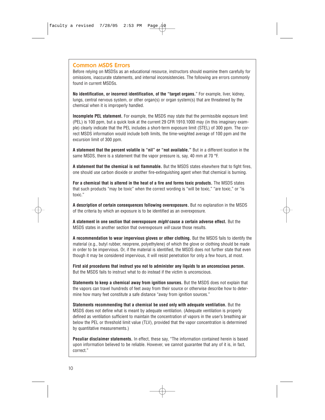#### Common MSDS Errors

Before relying on MSDSs as an educational resource, instructors should examine them carefully for omissions, inaccurate statements, and internal inconsistencies. The following are errors commonly found in current MSDSs.

**No identification, or incorrect identification, of the "target organs.**" For example, liver, kidney, lungs, central nervous system, or other organ(s) or organ system(s) that are threatened by the chemical when it is improperly handled.

**Incomplete PEL statement.** For example, the MSDS may state that the permissible exposure limit (PEL) is 100 ppm, but a quick look at the current 29 CFR 1910.1000 may (in this imaginary example) clearly indicate that the PEL includes a short-term exposure limit (STEL) of 300 ppm. The correct MSDS information would include both limits, the time-weighted average of 100 ppm and the excursion limit of 300 ppm.

**A statement that the percent volatile is "nil" or "not available."** But in a different location in the same MSDS, there is a statement that the vapor pressure is, say, 40 mm at 70 °F.

**A statement that the chemical is not flammable.** But the MSDS states elsewhere that to fight fires, one should use carbon dioxide or another fire-extinguishing agent when that chemical is burning.

**For a chemical that is altered in the heat of a fire and forms toxic products.** The MSDS states that such products "may be toxic" when the correct wording is "will be toxic," "are toxic," or "is toxic."

**A description of certain consequences following overexposure.** But no explanation in the MSDS of the criteria by which an exposure is to be identified as an overexposure.

**A statement in one section that overexposure** *might* **cause a certain adverse effect.** But the MSDS states in another section that overexposure will cause those results.

**A recommendation to wear impervious gloves or other clothing.** But the MSDS fails to identify the material (e.g., butyl rubber, neoprene, polyethylene) of which the glove or clothing should be made in order to be impervious. Or, if the material is identified, the MSDS does not further state that even though it may be considered impervious, it will resist penetration for only a few hours, at most.

**First aid procedures that instruct you not to administer any liquids to an unconscious person.** But the MSDS fails to instruct what to do instead if the victim is unconscious.

**Statements to keep a chemical away from ignition sources.** But the MSDS does not explain that the vapors can travel hundreds of feet away from their source or otherwise describe how to determine how many feet constitute a safe distance "away from ignition sources."

**Statements recommending that a chemical be used only with adequate ventilation.** But the MSDS does not define what is meant by adequate ventilation. (Adequate ventilation is properly defined as ventilation sufficient to maintain the concentration of vapors in the user's breathing air below the PEL or threshold limit value (TLV), provided that the vapor concentration is determined by quantitative measurements.)

**Peculiar disclaimer statements.** In effect, these say, "The information contained herein is based upon information believed to be reliable. However, we cannot guarantee that any of it is, in fact, correct."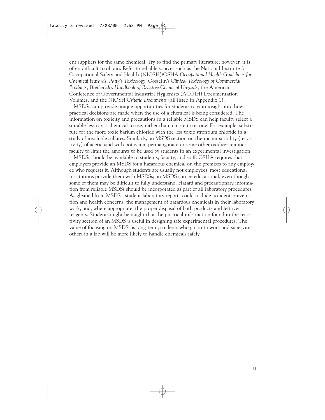ent suppliers for the same chemical. Try to find the primary literature; however, it is often difficult to obtain. Refer to reliable sources such as the National Institute for Occupational Safety and Health (NIOSH)/OSHA *Occupational Health Guidelines for Chemical Hazards*, *Patty's Toxicology,* Gosselin's *Clinical Toxicology of Commercial Products, Bretherick's Handbook of Reactive Chemical Hazards,* the American Conference of Governmental Industrial Hygienists (ACGIH) Documentation Volumes, and the NIOSH *Criteria Documents* (all listed in Appendix 1).

MSDSs can provide unique opportunities for students to gain insight into how practical decisions are made when the use of a chemical is being considered. The information on toxicity and precautions in a reliable MSDS can help faculty select a suitable less toxic chemical to use, rather than a more toxic one. For example, substitute for the more toxic barium chloride with the less toxic strontium chloride in a study of insoluble sulfates. Similarly, an MSDS section on the incompatibility (reactivity) of acetic acid with potassium permanganate or some other oxidizer reminds faculty to limit the amounts to be used by students in an experimental investigation.

MSDSs should be available to students, faculty, and staff. OSHA requires that employers provide an MSDS for a hazardous chemical on the premises to any employee who requests it. Although students are usually not employees, most educational institutions provide them with MSDSs; an MSDS can be educational, even though some of them may be difficult to fully understand. Hazard and precautionary information from reliable MSDSs should be incorporated as part of all laboratory procedures. As gleaned from MSDSs, student laboratory reports could include accident-prevention and health concerns, the management of hazardous chemicals in their laboratory work, and, where appropriate, the proper disposal of both products and leftover reagents. Students might be taught that the practical information found in the reactivity section of an MSDS is useful in designing safe experimental procedures. The value of focusing on MSDSs is long-term; students who go on to work and supervise others in a lab will be more likely to handle chemicals safely.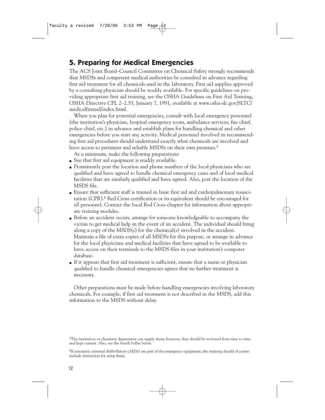# **5. Preparing for Medical Emergencies**

The ACS Joint Board–Council Committee on Chemical Safety strongly recommends that MSDSs and competent medical authorities be consulted in advance regarding first aid treatment for all chemicals used in the laboratory. First aid supplies approved by a consulting physician should be readily available. For specific guidelines on providing appropriate first aid training, see the OSHA Guidelines on First Aid Training, OSHA Directive CPL 2–2.53, January 7, 1991, available at www.osha-slc.gov/SLTC/ medicalfirstaid/index.html.

When you plan for potential emergencies, consult with local emergency personnel (the institution's physician, hospital emergency room, ambulance services, fire chief, police chief, etc.) in advance and establish plans for handling chemical and other emergencies before you start any activity. Medical personnel involved in recommending first aid procedures should understand exactly what chemicals are involved and have access to pertinent and reliable MSDSs on their own premises.<sup>5</sup>

At a minimum, make the following preparations:

- See that first aid equipment is readily available.
- Prominently post the location and phone numbers of the local physicians who are qualified and have agreed to handle chemical emergency cases and of local medical facilities that are similarly qualified and have agreed. Also, post the location of the MSDS file.
- Ensure that sufficient staff is trained in basic first aid and cardiopulmonary resuscitation (CPR).6 Red Cross certification or its equivalent should be encouraged for all personnel. Contact the local Red Cross chapter for information about appropriate training modules.
- Before an accident occurs, arrange for someone knowledgeable to accompany the victim to get medical help in the event of an accident. The individual should bring along a copy of the MSDS(s) for the chemical(s) involved in the accident. Maintain a file of extra copies of all MSDSs for this purpose, or arrange in advance for the local physicians and medical facilities that have agreed to be available to have access on their terminals to the MSDS files in your institution's computer database.
- If it appears that first aid treatment is sufficient, ensure that a nurse or physician qualified to handle chemical emergencies agrees that no further treatment is necessary.

Other preparations must be made before handling emergencies involving laboratory chemicals. For example, if first aid treatment is not described in the MSDS, add this information to the MSDS without delay.

<sup>5</sup>The institution or chemistry department can supply them; however, they should be reviewed from time to time and kept current. Also, see the fourth bullet below.

<sup>6</sup>If automatic external defibrillators (AEDs) are part of the emergency equipment, the training should of course include instruction for using them.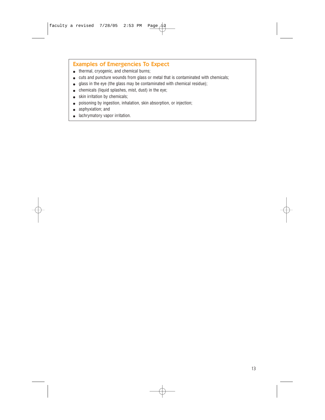#### Examples of Emergencies To Expect

- thermal, cryogenic, and chemical burns;
- cuts and puncture wounds from glass or metal that is contaminated with chemicals;
- glass in the eye (the glass may be contaminated with chemical residue);
- chemicals (liquid splashes, mist, dust) in the eye;
- skin irritation by chemicals;
- poisoning by ingestion, inhalation, skin absorption, or injection;
- asphyxiation; and
- lachrymatory vapor irritation.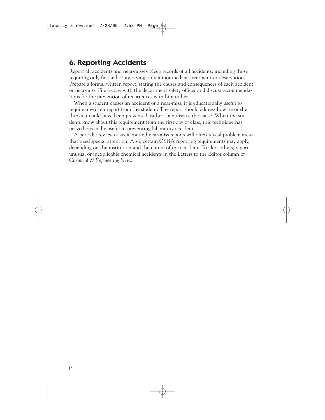# **6. Reporting Accidents**

Report all accidents and near-misses. Keep records of all accidents, including those requiring only first aid or involving only minor medical treatment or observation. Prepare a formal written report, stating the causes and consequences of each accident or near-miss. File a copy with the department safety officer and discuss recommendations for the prevention of recurrences with him or her.

When a student causes an accident or a near-miss, it is educationally useful to require a written report from the student. The report should address how he or she thinks it could have been prevented, rather than discuss the cause. When the students know about this requirement from the first day of class, this technique has proved especially useful in preventing laboratory accidents.

A periodic review of accident and near-miss reports will often reveal problem areas that need special attention. Also, certain OSHA reporting requirements may apply, depending on the institution and the nature of the accident. To alert others, report unusual or inexplicable chemical accidents in the Letters to the Editor column of *Chemical & Engineering News.*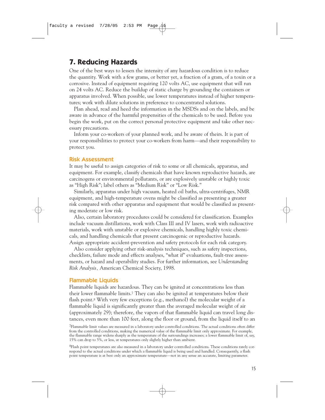## **7. Reducing Hazards**

One of the best ways to lessen the intensity of any hazardous condition is to reduce the quantity. Work with a few grams, or better yet, a fraction of a gram, of a toxin or a corrosive. Instead of equipment requiring 120 volts AC, use equipment that will run on 24 volts AC. Reduce the buildup of static charge by grounding the containers or apparatus involved. When possible, use lower temperatures instead of higher temperatures; work with dilute solutions in preference to concentrated solutions.

Plan ahead, read and heed the information in the MSDSs and on the labels, and be aware in advance of the harmful propensities of the chemicals to be used. Before you begin the work, put on the correct personal protective equipment and take other necessary precautions.

Inform your co-workers of your planned work, and be aware of theirs. It is part of your responsibilities to protect your co-workers from harm—and their responsibility to protect you.

#### Risk Assessment

It may be useful to assign categories of risk to some or all chemicals, apparatus, and equipment. For example, classify chemicals that have known reproductive hazards, are carcinogens or environmental pollutants, or are explosively unstable or highly toxic as "High Risk"; label others as "Medium Risk" or "Low Risk."

Similarly, apparatus under high vacuum, heated oil baths, ultra-centrifuges, NMR equipment, and high-temperature ovens might be classified as presenting a greater risk compared with other apparatus and equipment that would be classified as presenting moderate or low risk.

Also, certain laboratory procedures could be considered for classification. Examples include vacuum distillations, work with Class III and IV lasers, work with radioactive materials, work with unstable or explosive chemicals, handling highly toxic chemicals, and handling chemicals that present carcinogenic or reproductive hazards. Assign appropriate accident-prevention and safety protocols for each risk category.

Also consider applying other risk-analysis techniques, such as safety inspections, checklists, failure mode and effects analyses, "what if" evaluations, fault-tree assessments, or hazard and operability studies. For further information, see *Understanding Risk Analysis,* American Chemical Society, 1998.

#### Flammable Liquids

Flammable liquids are hazardous. They can be ignited at concentrations less than their lower flammable limits.7 They can also be ignited at temperatures below their flash point.8 With very few exceptions (e.g., methanol) the molecular weight of a flammable liquid is significantly greater than the averaged molecular weight of air (approximately 29); therefore, the vapors of that flammable liquid can travel long distances, even more than 100 feet, along the floor or ground, from the liquid itself to an

8Flash point temperatures are also measured in a laboratory under controlled conditions. These conditions rarely correspond to the actual conditions under which a flammable liquid is being used and handled. Consequently, a flash point temperature is at best only an approximate temperature—not in any sense an accurate, limiting parameter.

<sup>7</sup>Flammable limit values are measured in a laboratory under controlled conditions. The actual conditions often differ from the controlled conditions, making the numerical value of the flammable limit only approximate. For example, the flammable range widens sharply as the temperature of the surroundings increases; a lower flammable limit of, say, 15% can drop to 5%, or less, at temperatures only slightly higher than ambient.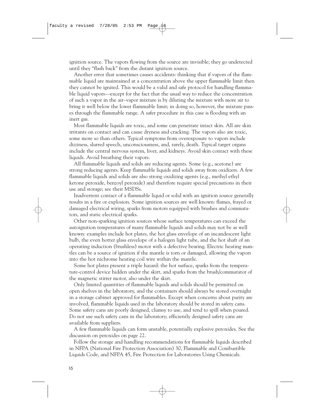ignition source. The vapors flowing from the source are invisible; they go undetected until they "flash back" from the distant ignition source.

Another error that sometimes causes accidents: thinking that if vapors of the flammable liquid are maintained at a concentration above the upper flammable limit then they cannot be ignited. This would be a valid and safe protocol for handling flammable liquid vapors—except for the fact that the usual way to reduce the concentration of such a vapor in the air–vapor mixture is by diluting the mixture with more air to bring it well below the lower flammable limit; in doing so, however, the mixture passes through the flammable range. A safer procedure in this case is flooding with an inert gas.

Most flammable liquids are toxic, and some can penetrate intact skin. All are skin irritants on contact and can cause dryness and cracking. The vapors also are toxic, some more so than others. Typical symptoms from overexposure to vapors include dizziness, slurred speech, unconsciousness, and, rarely, death. Typical target organs include the central nervous system, liver, and kidneys. Avoid skin contact with these liquids. Avoid breathing their vapors.

All flammable liquids and solids are reducing agents. Some (e.g., acetone) are strong reducing agents. Keep flammable liquids and solids away from oxidizers. A few flammable liquids and solids are also strong oxidizing agents (e.g., methyl ethyl ketone peroxide, benzoyl peroxide) and therefore require special precautions in their use and storage; see their MSDSs.

Inadvertent contact of a flammable liquid or solid with an ignition source generally results in a fire or explosion. Some ignition sources are well known: flames, frayed or damaged electrical wiring, sparks from motors equipped with brushes and commutators, and static electrical sparks.

Other non-sparking ignition sources whose surface temperatures can exceed the autoignition temperatures of many flammable liquids and solids may not be as well known: examples include hot plates, the hot glass envelope of an incandescent light bulb, the even hotter glass envelope of a halogen light tube, and the hot shaft of an operating induction (brushless) motor with a defective bearing. Electric heating mantles can be a source of ignition if the mantle is torn or damaged, allowing the vapors into the hot nichrome heating coil wire within the mantle.

Some hot plates present a triple hazard: the hot surface, sparks from the temperature-control device hidden under the skirt, and sparks from the brush/commutator of the magnetic stirrer motor, also under the skirt.

Only limited quantities of flammable liquids and solids should be permitted on open shelves in the laboratory, and the containers should always be stored overnight in a storage cabinet approved for flammables. Except when concerns about purity are involved, flammable liquids used in the laboratory should be stored in safety cans. Some safety cans are poorly designed, clumsy to use, and tend to spill when poured. Do not use such safety cans in the laboratory; efficiently designed safety cans are available from suppliers.

A few flammable liquids can form unstable, potentially explosive peroxides. See the discussion on peroxides on page 22.

Follow the storage and handling recommendations for flammable liquids described in NFPA (National Fire Protection Association) 30, Flammable and Combustible Liquids Code, and NFPA 45, Fire Protection for Laboratories Using Chemicals.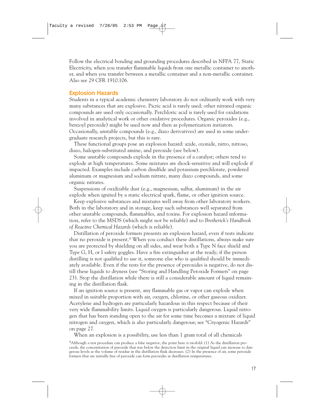Follow the electrical bonding and grounding procedures described in NFPA 77, Static Electricity, when you transfer flammable liquids from one metallic container to another, and when you transfer between a metallic container and a non-metallic container. Also see 29 CFR 1910.106.

#### Explosion Hazards

Students in a typical academic chemistry laboratory do not ordinarily work with very many substances that are explosive. Picric acid is rarely used; other nitrated organic compounds are used only occasionally. Perchloric acid is rarely used for oxidations involved in analytical work or other oxidative procedures. Organic peroxides (e.g., benzoyl peroxide) might be used now and then as polymerization initiators. Occasionally, unstable compounds (e.g., diazo derivatives) are used in some undergraduate research projects, but this is rare.

These functional groups pose an explosion hazard: azide, ozonide, nitro, nitroso, diazo, halogen-substituted amine, and peroxide (see below).

Some unstable compounds explode in the presence of a catalyst; others tend to explode at high temperatures. Some mixtures are shock-sensitive and will explode if impacted. Examples include carbon disulfide and potassium perchlorate, powdered aluminum or magnesium and sodium nitrate, many diazo compounds, and some organic nitrates.

Suspensions of oxidizable dust (e.g., magnesium, sulfur, aluminum) in the air explode when ignited by a static electrical spark, flame, or other ignition source.

Keep explosive substances and mixtures well away from other laboratory workers. Both in the laboratory and in storage, keep such substances well separated from other unstable compounds, flammables, and toxins. For explosion hazard information, refer to the MSDS (which might not be reliable) and to *Bretherick's Handbook of Reactive Chemical Hazards* (which is reliable).

Distillation of peroxide formers presents an explosion hazard, even if tests indicate that no peroxide is present.9 When you conduct these distillations, always make sure you are protected by shielding on all sides, and wear both a Type N face shield and Type G, H, or I safety goggles. Have a fire extinguisher at the ready; if the person distilling is not qualified to use it, someone else who is qualified should be immediately available. Even if the tests for the presence of peroxides is negative, do not distill these liquids to dryness (see "Storing and Handling Peroxide Formers" on page 23). Stop the distillation while there is still a considerable amount of liquid remaining in the distillation flask.

If an ignition source is present, any flammable gas or vapor can explode when mixed in suitable proportion with air, oxygen, chlorine, or other gaseous oxidizer. Acetylene and hydrogen are particularly hazardous in this respect because of their very wide flammability limits. Liquid oxygen is particularly dangerous. Liquid nitrogen that has been standing open to the air for some time becomes a mixture of liquid nitrogen and oxygen, which is also particularly dangerous; see "Cryogenic Hazards" on page 27.

When an explosion is a possibility, use less than 1 gram total of all chemicals

<sup>9</sup>Although a test procedure can produce a false negative, the point here is twofold: (1) As the distillation proceeds, the concentration of peroxide that was below the detection limit in the original liquid can increase to dangerous levels as the volume of residue in the distillation flask decreases. (2) In the presence of air, some peroxide formers that are initially free of peroxide can form peroxides at distillation temperatures.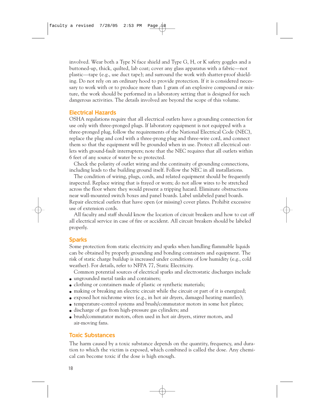involved. Wear both a Type N face shield and Type G, H, or K safety goggles and a buttoned-up, thick, quilted, lab coat; cover any glass apparatus with a fabric—not plastic—tape (e.g., use duct tape); and surround the work with shatter-proof shielding. Do not rely on an ordinary hood to provide protection. If it is considered necessary to work with or to produce more than 1 gram of an explosive compound or mixture, the work should be performed in a laboratory setting that is designed for such dangerous activities. The details involved are beyond the scope of this volume.

#### Electrical Hazards

OSHA regulations require that all electrical outlets have a grounding connection for use only with three-pronged plugs. If laboratory equipment is not equipped with a three-pronged plug, follow the requirements of the National Electrical Code (NEC), replace the plug and cord with a three-prong plug and three-wire cord, and connect them so that the equipment will be grounded when in use. Protect all electrical outlets with ground-fault interrupters; note that the NEC requires that all outlets within 6 feet of any source of water be so protected.

Check the polarity of outlet wiring and the continuity of grounding connections, including leads to the building ground itself. Follow the NEC in all installations.

The condition of wiring, plugs, cords, and related equipment should be frequently inspected. Replace wiring that is frayed or worn; do not allow wires to be stretched across the floor where they would present a tripping hazard. Eliminate obstructions near wall-mounted switch boxes and panel boards. Label unlabeled panel boards. Repair electrical outlets that have open (or missing) cover plates. Prohibit excessive use of extension cords.

All faculty and staff should know the location of circuit breakers and how to cut off all electrical service in case of fire or accident. All circuit breakers should be labeled properly.

#### Sparks

Some protection from static electricity and sparks when handling flammable liquids can be obtained by properly grounding and bonding containers and equipment. The risk of static charge buildup is increased under conditions of low humidity (e.g., cold weather). For details, refer to NFPA 77, Static Electricity.

Common potential sources of electrical sparks and electrostatic discharges include

- ungrounded metal tanks and containers;
- clothing or containers made of plastic or synthetic materials;
- making or breaking an electric circuit while the circuit or part of it is energized;
- exposed hot nichrome wires (e.g., in hot air dryers, damaged heating mantles);
- temperature-control systems and brush/commutator motors in some hot plates;
- discharge of gas from high-pressure gas cylinders; and
- brush/commutator motors, often used in hot air dryers, stirrer motors, and air-moving fans.

#### Toxic Substances

The harm caused by a toxic substance depends on the quantity, frequency, and duration to which the victim is exposed, which combined is called the dose. Any chemical can become toxic if the dose is high enough.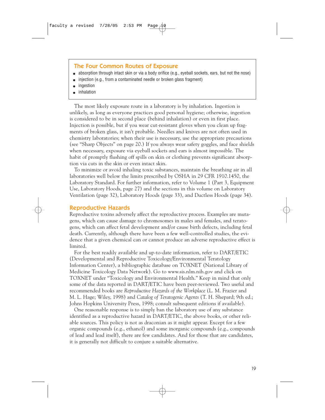#### The Four Common Routes of Exposure

- absorption through intact skin or via a body orifice (e.g., eyeball sockets, ears, but not the nose)
- injection (e.g., from a contaminated needle or broken glass fragment)
- ingestion
- inhalation

The most likely exposure route in a laboratory is by inhalation. Ingestion is unlikely, as long as everyone practices good personal hygiene; otherwise, ingestion is considered to be in second place (behind inhalation) or even in first place. Injection is possible, but if you wear cut-resistant gloves when you clean up fragments of broken glass, it isn't probable. Needles and knives are not often used in chemistry laboratories; when their use is necessary, use the appropriate precautions (see "Sharp Objects" on page 20.) If you always wear safety goggles, and face shields when necessary, exposure via eyeball sockets and ears is almost impossible. The habit of promptly flushing off spills on skin or clothing prevents significant absorption via cuts in the skin or even intact skin.

To minimize or avoid inhaling toxic substances, maintain the breathing air in all laboratories well below the limits prescribed by OSHA in 29 CFR 1910.1450, the Laboratory Standard. For further information, refer to Volume 1 (Part 3, Equipment Use, Laboratory Hoods, page 27) and the sections in this volume on Laboratory Ventilation (page 32), Laboratory Hoods (page 33), and Ductless Hoods (page 34).

#### Reproductive Hazards

Reproductive toxins adversely affect the reproductive process. Examples are mutagens, which can cause damage to chromosomes in males and females, and teratogens, which can affect fetal development and/or cause birth defects, including fetal death. Currently, although there have been a few well-controlled studies, the evidence that a given chemical can or cannot produce an adverse reproductive effect is limited.

For the best readily available and up-to-date information, refer to DART/ETIC (Developmental and Reproductive Toxicology/Environmental Teratology Information Center), a bibliographic database on TOXNET (National Library of Medicine Toxicology Data Network). Go to www.sis.nlm.nih.gov and click on TOXNET under "Toxicology and Environmental Health." Keep in mind that only some of the data reported in DART/ETIC have been peer-reviewed. Two useful and recommended books are *Reproductive Hazards of the Workplace* (L. M. Frazier and M. L. Hage; Wiley, 1998) and *Catalog of Teratogenic Agents* (T. H. Shepard; 9th ed.; Johns Hopkins University Press, 1998; consult subsequent editions if available).

One reasonable response is to simply ban the laboratory use of any substance identified as a reproductive hazard in DART/ETIC, the above books, or other reliable sources. This policy is not as draconian as it might appear. Except for a few organic compounds (e.g., ethanol) and some inorganic compounds (e.g., compounds of lead and lead itself), there are few candidates. And for those that are candidates, it is generally not difficult to conjure a suitable alternative.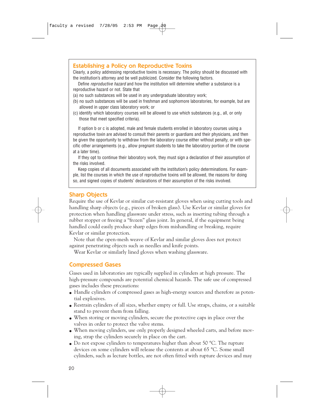#### Establishing a Policy on Reproductive Toxins

Clearly, a policy addressing reproductive toxins is necessary. The policy should be discussed with the institution's attorney and be well publicized. Consider the following factors.

Define *reproductive hazard* and how the institution will determine whether a substance is a reproductive hazard or not. State that

- (a) no such substances will be used in any undergraduate laboratory work;
- (b) no such substances will be used in freshman and sophomore laboratories, for example, but are allowed in upper class laboratory work; or
- (c) identify which laboratory courses will be allowed to use which substances (e.g., all, or only those that meet specified criteria).

If option b or c is adopted, male and female students enrolled in laboratory courses using a reproductive toxin are advised to consult their parents or guardians and their physicians, and then be given the opportunity to withdraw from the laboratory course either without penalty, or with specific other arrangements (e.g., allow pregnant students to take the laboratory portion of the course at a later time).

If they opt to continue their laboratory work, they must sign a declaration of their assumption of the risks involved.

Keep copies of all documents associated with the institution's policy determinations. For example, list the courses in which the use of reproductive toxins will be allowed, the reasons for doing so, and signed copies of students' declarations of their assumption of the risks involved.

#### Sharp Objects

Require the use of Kevlar or similar cut-resistant gloves when using cutting tools and handling sharp objects (e.g., pieces of broken glass). Use Kevlar or similar gloves for protection when handling glassware under stress, such as inserting tubing through a rubber stopper or freeing a "frozen" glass joint. In general, if the equipment being handled could easily produce sharp edges from mishandling or breaking, require Kevlar or similar protection.

Note that the open-mesh weave of Kevlar and similar gloves does not protect against penetrating objects such as needles and knife points.

Wear Kevlar or similarly lined gloves when washing glassware.

#### Compressed Gases

Gases used in laboratories are typically supplied in cylinders at high pressure. The high-pressure compounds are potential chemical hazards. The safe use of compressed gases includes these precautions:

- Handle cylinders of compressed gases as high-energy sources and therefore as potential explosives.
- Restrain cylinders of all sizes, whether empty or full. Use straps, chains, or a suitable stand to prevent them from falling.
- When storing or moving cylinders, secure the protective caps in place over the valves in order to protect the valve stems.
- When moving cylinders, use only properly designed wheeled carts, and before moving, strap the cylinders securely in place on the cart.
- Do not expose cylinders to temperatures higher than about 50  $^{\circ}$ C. The rupture devices on some cylinders will release the contents at about 65 °C. Some small cylinders, such as lecture bottles, are not often fitted with rupture devices and may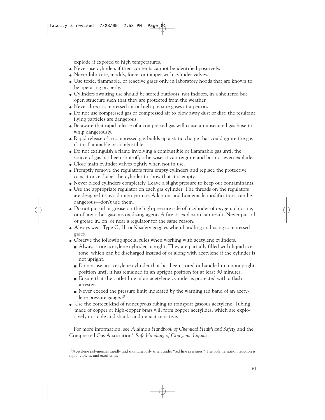explode if exposed to high temperatures.

- Never use cylinders if their contents cannot be identified positively.
- Never lubricate, modify, force, or tamper with cylinder valves.
- Use toxic, flammable, or reactive gases only in laboratory hoods that are known to be operating properly.
- Cylinders awaiting use should be stored outdoors, not indoors, in a sheltered but open structure such that they are protected from the weather.
- Never direct compressed air or high-pressure gases at a person.
- Do not use compressed gas or compressed air to blow away dust or dirt; the resultant flying particles are dangerous.
- Be aware that rapid release of a compressed gas will cause an unsecured gas hose to whip dangerously.
- Rapid release of a compressed gas builds up a static charge that could ignite the gas if it is flammable or combustible.
- Do not extinguish a flame involving a combustible or flammable gas until the source of gas has been shut off; otherwise, it can reignite and burn or even explode.
- Close main cylinder valves tightly when not in use.
- Promptly remove the regulators from empty cylinders and replace the protective caps at once. Label the cylinder to show that it is empty.
- Never bleed cylinders completely. Leave a slight pressure to keep out contaminants.
- Use the appropriate regulator on each gas cylinder. The threads on the regulators are designed to avoid improper use. Adaptors and homemade modifications can be dangerous—don't use them.
- Do not put oil or grease on the high-pressure side of a cylinder of oxygen, chlorine, or of any other gaseous oxidizing agent. A fire or explosion can result. Never put oil or grease in, on, or near a regulator for the same reason.
- Always wear Type G, H, or K safety goggles when handling and using compressed gases.
- Observe the following special rules when working with acetylene cylinders.
	- Always store acetylene cylinders upright. They are partially filled with liquid acetone, which can be discharged instead of or along with acetylene if the cylinder is not upright.
	- Do not use an acetylene cylinder that has been stored or handled in a nonupright position until it has remained in an upright position for at least 30 minutes.
	- Ensure that the outlet line of an acetylene cylinder is protected with a flash arrester.
	- Never exceed the pressure limit indicated by the warning red band of an acetylene pressure gauge.10
- Use the correct kind of noncuprous tubing to transport gaseous acetylene. Tubing made of copper or high-copper brass will form copper acetylides, which are explosively unstable and shock- and impact-sensitive.

For more information, see Alaimo's *Handbook of Chemical Health and Safety* and the Compressed Gas Association's *Safe Handling of Cryogenic Liquids.*

10Acetylene polymerizes rapidly and spontaneously when under "red line pressures." The polymerization reaction is rapid, violent, and exothermic.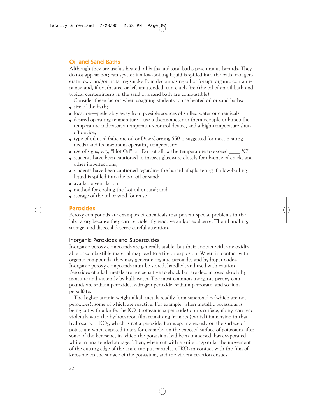#### Oil and Sand Baths

Although they are useful, heated oil baths and sand baths pose unique hazards. They do not appear hot; can spatter if a low-boiling liquid is spilled into the bath; can generate toxic and/or irritating smoke from decomposing oil or foreign organic contaminants; and, if overheated or left unattended, can catch fire (the oil of an oil bath and typical contaminants in the sand of a sand bath are combustible).

Consider these factors when assigning students to use heated oil or sand baths:

- size of the bath:
- location—preferably away from possible sources of spilled water or chemicals;
- desired operating temperature—use a thermometer or thermocouple or bimetallic temperature indicator, a temperature-control device, and a high-temperature shutoff device;
- type of oil used (silicone oil or Dow Corning 550 is suggested for most heating needs) and its maximum operating temperature;
- use of signs, e.g., "Hot Oil" or "Do not allow the temperature to exceed  $^{\circ}C$ ";
- students have been cautioned to inspect glassware closely for absence of cracks and other imperfections;
- students have been cautioned regarding the hazard of splattering if a low-boiling liquid is spilled into the hot oil or sand;
- available ventilation;
- method for cooling the hot oil or sand; and
- storage of the oil or sand for reuse.

#### Peroxides

Peroxy compounds are examples of chemicals that present special problems in the laboratory because they can be violently reactive and/or explosive. Their handling, storage, and disposal deserve careful attention.

#### Inorganic Peroxides and Superoxides

Inorganic peroxy compounds are generally stable, but their contact with any oxidizable or combustible material may lead to a fire or explosion. When in contact with organic compounds, they may generate organic peroxides and hydroperoxides. Inorganic peroxy compounds must be stored, handled, and used with caution. Peroxides of alkali metals are not sensitive to shock but are decomposed slowly by moisture and violently by bulk water. The most common inorganic peroxy compounds are sodium peroxide, hydrogen peroxide, sodium perborate, and sodium persulfate.

The higher-atomic-weight alkali metals readily form superoxides (which are not peroxides), some of which are reactive. For example, when metallic potassium is being cut with a knife, the  $KO<sub>2</sub>$  (potassium superoxide) on its surface, if any, can react violently with the hydrocarbon film remaining from its (partial) immersion in that hydrocarbon. KO2, which is *not* a peroxide, forms spontaneously on the surface of potassium when exposed to air, for example, on the exposed surface of potassium after some of the kerosene, in which the potassium had been immersed, has evaporated while in unattended storage. Then, when cut with a knife or spatula, the movement of the cutting edge of the knife can put particles of  $KO<sub>2</sub>$  in contact with the film of kerosene on the surface of the potassium, and the violent reaction ensues.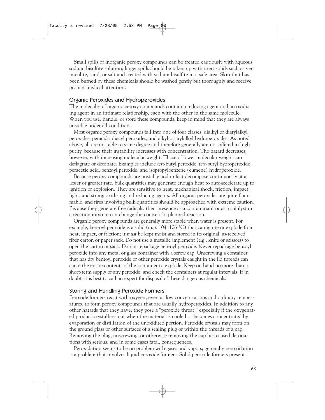Small spills of inorganic peroxy compounds can be treated cautiously with aqueous sodium bisulfite solution; larger spills should be taken up with inert solids such as vermiculite, sand, or salt and treated with sodium bisulfite in a safe area. Skin that has been burned by these chemicals should be washed gently but thoroughly and receive prompt medical attention.

#### Organic Peroxides and Hydroperoxides

The molecules of organic peroxy compounds contain a reducing agent and an oxidizing agent in an intimate relationship, each with the other in the same molecule. When you use, handle, or store these compounds, keep in mind that they are always unstable under all conditions.

Most organic peroxy compounds fall into one of four classes: dialkyl or diarylalkyl peroxides, peracids, diacyl peroxides, and alkyl or arylalkyl hydroperoxides. As noted above, all are unstable to some degree and therefore generally are not offered in high purity, because their instability increases with concentration. The hazard decreases, however, with increasing molecular weight. Those of lower molecular weight can deflagrate or detonate. Examples include *tert*-butyl peroxide, *tert*-butyl hydroperoxide, peracetic acid, benzoyl peroxide, and isopropylbenzene (cumene) hydroperoxide.

Because peroxy compounds are unstable and in fact decompose continuously at a lesser or greater rate, bulk quantities may generate enough heat to autoaccelerate up to ignition or explosion. They are sensitive to heat, mechanical shock, friction, impact, light, and strong oxidizing and reducing agents. All organic peroxides are quite flammable, and fires involving bulk quantities should be approached with extreme caution. Because they generate free radicals, their presence as a contaminant or as a catalyst in a reaction mixture can change the course of a planned reaction.

Organic peroxy compounds are generally more stable when water is present. For example, benzoyl peroxide is a solid (m.p. 104–106 °C) that can ignite or explode from heat, impact, or friction; it *must* be kept moist and stored in its original, as-received fiber carton or paper sack. Do not use a metallic implement (e.g., knife or scissors) to open the carton or sack. Do not repackage benzoyl peroxide. Never repackage benzoyl peroxide into any metal or glass container with a screw cap. Unscrewing a container that has dry benzoyl peroxide or other peroxide crystals caught in the lid threads can cause the entire contents of the container to explode. Keep on hand no more than a short-term supply of any peroxide, and check the containers at regular intervals. If in doubt, it is best to call an expert for disposal of these dangerous chemicals.

#### Storing and Handling Peroxide Formers

Peroxide formers react with oxygen, even at low concentrations and ordinary temperatures, to form peroxy compounds that are usually hydroperoxides. In addition to any other hazards that they have, they pose a "peroxide threat," especially if the oxygenated product crystallizes out when the material is cooled or becomes concentrated by evaporation or distillation of the unoxidized portion. Peroxide crystals may form on the ground glass or other surfaces of a sealing plug or within the threads of a cap. Removing the plug, unscrewing, or otherwise removing the cap has caused detonations with serious, and in some cases fatal, consequences.

Peroxidation seems to be no problem with gases and vapors; generally peroxidation is a problem that involves liquid peroxide formers. Solid peroxide formers present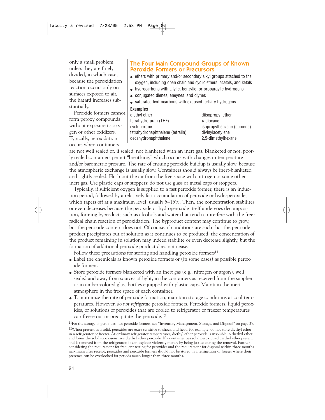only a small problem unless they are finely divided, in which case, because the peroxidation reaction occurs only on surfaces exposed to air, the hazard increases substantially.

Peroxide formers cannot form peroxy compounds without exposure to oxygen or other oxidizers. Typically, peroxidation occurs when containers

#### The Four Main Compound Groups of Known Peroxide Formers or Precursors

- ethers with primary and/or secondary alkyl groups attached to the oxygen, including open chain and cyclic ethers, acetals, and ketals
- hydrocarbons with allylic, benzylic, or propargylic hydrogens
- conjugated dienes, eneynes, and diynes
- saturated hydrocarbons with exposed tertiary hydrogens

#### **Examples**

| diethyl ether                    | diisopropyl ether         |
|----------------------------------|---------------------------|
| tetrahydrofuran (THF)            | <i>p</i> -dioxane         |
| cyclohexane                      | isopropylbenzene (cumene) |
| tetrahydronaphthalene (tetralin) | divinylacetylene          |
| decahydronaphthalene             | 2,5-dimethylhexane        |
|                                  |                           |

are not well sealed or, if sealed, not blanketed with an inert gas. Blanketed or not, poorly sealed containers permit "breathing," which occurs with changes in temperature and/or barometric pressure. The rate of ensuing peroxide buildup is usually slow, because the atmospheric exchange is usually slow. Containers should always be inert-blanketed and tightly sealed. Flush out the air from the free space with nitrogen or some other inert gas. Use plastic caps or stoppers; do not use glass or metal caps or stoppers.

Typically, if sufficient oxygen is supplied to a fast peroxide former, there is an induction period, followed by a relatively fast accumulation of peroxide or hydroperoxide, which tapers off at a maximum level, usually 5–15%. Then, the concentration stabilizes or even decreases because the peroxide or hydroperoxide itself undergoes decomposition, forming byproducts such as alcohols and water that tend to interfere with the freeradical chain reaction of peroxidation. The byproduct content may continue to grow, but the peroxide content does not. Of course, if conditions are such that the peroxide product precipitates out of solution as it continues to be produced, the concentration of the product remaining in solution may indeed stabilize or even decrease slightly, but the formation of additional peroxide product does not cease.

Follow these precautions for storing and handling peroxide formers<sup>11</sup>:

- Label the chemicals as known peroxide formers or (in some cases) as possible peroxide formers.
- Store peroxide formers blanketed with an inert gas (e.g., nitrogen or argon), well sealed and away from sources of light, in the containers as received from the supplier or in amber-colored glass bottles equipped with plastic caps. Maintain the inert atmosphere in the free space of each container.
- To minimize the rate of peroxide formation, maintain storage conditions at cool temperatures. However, *do not refrigerate* peroxide formers. Peroxide formers, liquid peroxides, or solutions of peroxides that are cooled to refrigerator or freezer temperatures can freeze out or precipitate the peroxide.12

<sup>11</sup>For the storage of peroxides, not peroxide formers, see "Inventory Management, Storage, and Disposal" on page 37.

12When present as a solid, peroxides are extra sensitive to shock and heat. For example, do not store diethyl ether in a refrigerator or freezer. At ordinary refrigerator temperatures, diethyl ether peroxide is insoluble in diethyl ether and forms the solid shock-sensitive diethyl ether peroxide. If a container has solid peroxidized diethyl ether present and is removed from the refrigerator, it can explode violently merely by being jostled during the removal. Further, considering the requirement for frequent testing for peroxides and the requirement for disposal within three months maximum after receipt, peroxides and peroxide formers should not be stored in a refrigerator or freezer where their presence can be overlooked for periods much longer than three months.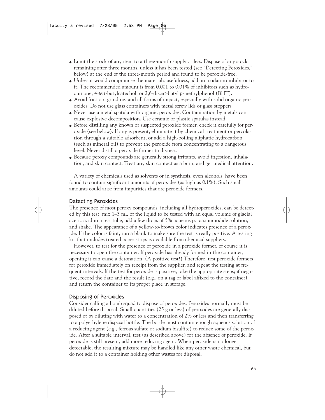- Limit the stock of any item to a three-month supply or less. Dispose of any stock remaining after three months, unless it has been tested (see "Detecting Peroxides," below) at the end of the three-month period and found to be peroxide-free.
- Unless it would compromise the material's usefulness, add an oxidation inhibitor to it. The recommended amount is from 0.001 to 0.01% of inhibitors such as hydroquinone, 4-*tert*-butylcatechol, or 2,6-di-*tert*-butyl *p*-methylphenol (BHT).
- Avoid friction, grinding, and all forms of impact, especially with solid organic peroxides. Do not use glass containers with metal screw lids or glass stoppers.
- Never use a metal spatula with organic peroxides. Contamination by metals can cause explosive decomposition. Use ceramic or plastic spatulas instead.
- Before distilling any known or suspected peroxide former, check it carefully for peroxide (see below). If any is present, eliminate it by chemical treatment or percolation through a suitable adsorbent, or add a high-boiling aliphatic hydrocarbon (such as mineral oil) to prevent the peroxide from concentrating to a dangerous level. Never distill a peroxide former to dryness.
- Because peroxy compounds are generally strong irritants, avoid ingestion, inhalation, and skin contact. Treat any skin contact as a burn, and get medical attention.

A variety of chemicals used as solvents or in synthesis, even alcohols, have been found to contain significant amounts of peroxides (as high as 0.1%). Such small amounts could arise from impurities that are peroxide formers.

#### Detecting Peroxides

The presence of most peroxy compounds, including all hydroperoxides, can be detected by this test: mix 1–3 mL of the liquid to be tested with an equal volume of glacial acetic acid in a test tube, add a few drops of 5% aqueous potassium iodide solution, and shake. The appearance of a yellow-to-brown color indicates presence of a peroxide. If the color is faint, run a blank to make sure the test is really positive. A testing kit that includes treated paper strips is available from chemical suppliers.

However, to test for the presence of peroxide in a peroxide former, of course it is necessary to open the container. If peroxide has already formed in the container, opening it can cause a detonation. (A positive test!) Therefore, test peroxide formers for peroxide immediately on receipt from the supplier, and repeat the testing at frequent intervals. If the test for peroxide is positive, take the appropriate steps; if negative, record the date and the result (e.g., on a tag or label affixed to the container) and return the container to its proper place in storage.

#### Disposing of Peroxides

Consider calling a bomb squad to dispose of peroxides. Peroxides normally must be diluted before disposal. Small quantities (25 g or less) of peroxides are generally disposed of by diluting with water to a concentration of 2% or less and then transferring to a polyethylene disposal bottle. The bottle must contain enough aqueous solution of a reducing agent (e.g., ferrous sulfate or sodium bisulfite) to reduce some of the peroxide. After a suitable interval, test (as described above) for the absence of peroxide. If peroxide is still present, add more reducing agent. When peroxide is no longer detectable, the resulting mixture may be handled like any other waste chemical, but do not add it to a container holding other wastes for disposal.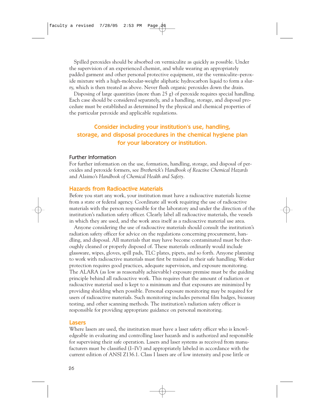Spilled peroxides should be absorbed on vermiculite as quickly as possible. Under the supervision of an experienced chemist, and while wearing an appropriately padded garment and other personal protective equipment, stir the vermiculite–peroxide mixture with a high-molecular-weight aliphatic hydrocarbon liquid to form a slurry, which is then treated as above. Never flush organic peroxides down the drain.

Disposing of large quantities (more than 25 g) of peroxide requires special handling. Each case should be considered separately, and a handling, storage, and disposal procedure must be established as determined by the physical and chemical properties of the particular peroxide and applicable regulations.

### Consider including your institution's use, handling, storage, and disposal procedures in the chemical hygiene plan for your laboratory or institution.

#### Further Information

For further information on the use, formation, handling, storage, and disposal of peroxides and peroxide formers, see *Bretherick's Handbook of Reactive Chemical Hazards* and Alaimo's *Handbook of Chemical Health and Safety.*

#### Hazards from Radioactive Materials

Before you start any work, your institution must have a radioactive materials license from a state or federal agency. Coordinate all work requiring the use of radioactive materials with the person responsible for the laboratory and under the direction of the institution's radiation safety officer. Clearly label all radioactive materials, the vessels in which they are used, and the work area itself as a radioactive material use area.

Anyone considering the use of radioactive materials should consult the institution's radiation safety officer for advice on the regulations concerning procurement, handling, and disposal. All materials that may have become contaminated must be thoroughly cleaned or properly disposed of. These materials ordinarily would include glassware, wipes, gloves, spill pads, TLC plates, pipets, and so forth. Anyone planning to work with radioactive materials must first be trained in their safe handling. Worker protection requires good practices, adequate supervision, and exposure monitoring. The ALARA (as low as reasonably achievable) exposure premise must be the guiding principle behind all radioactive work. This requires that the amount of radiation or radioactive material used is kept to a minimum and that exposures are minimized by providing shielding when possible. Personal exposure monitoring may be required for users of radioactive materials. Such monitoring includes personal film badges, bioassay testing, and other scanning methods. The institution's radiation safety officer is responsible for providing appropriate guidance on personal monitoring.

#### Lasers

Where lasers are used, the institution must have a laser safety officer who is knowledgeable in evaluating and controlling laser hazards and is authorized and responsible for supervising their safe operation. Lasers and laser systems as received from manufacturers must be classified (I–IV) and appropriately labeled in accordance with the current edition of ANSI Z136.1. Class I lasers are of low intensity and pose little or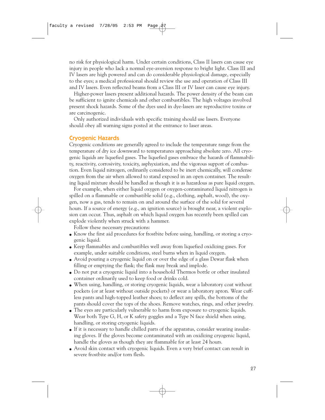no risk for physiological harm. Under certain conditions, Class II lasers can cause eye injury in people who lack a normal eye-aversion response to bright light. Class III and IV lasers are high powered and can do considerable physiological damage, especially to the eyes; a medical professional should review the use and operation of Class III and IV lasers. Even reflected beams from a Class III or IV laser can cause eye injury.

Higher-power lasers present additional hazards. The power density of the beam can be sufficient to ignite chemicals and other combustibles. The high voltages involved present shock hazards. Some of the dyes used in dye-lasers are reproductive toxins or are carcinogenic.

Only authorized individuals with specific training should use lasers. Everyone should obey all warning signs posted at the entrance to laser areas.

#### Cryogenic Hazards

Cryogenic conditions are generally agreed to include the temperature range from the temperature of dry ice downward to temperatures approaching absolute zero. All cryogenic liquids are liquefied gases. The liquefied gases embrace the hazards of flammability, reactivity, corrosivity, toxicity, asphyxiation, and the vigorous support of combustion. Even liquid nitrogen, ordinarily considered to be inert chemically, will condense oxygen from the air when allowed to stand exposed in an open container. The resulting liquid mixture should be handled as though it is as hazardous as pure liquid oxygen.

For example, when either liquid oxygen or oxygen-contaminated liquid nitrogen is spilled on a flammable or combustible solid (e.g., clothing, asphalt, wood), the  $oxy$ gen, now a gas, tends to remain on and around the surface of the solid for several hours. If a source of energy (e.g., an ignition source) is brought near, a violent explosion can occur. Thus, asphalt on which liquid oxygen has recently been spilled can explode violently when struck with a hammer.

Follow these necessary precautions:

- Know the first aid procedures for frostbite before using, handling, or storing a cryogenic liquid.
- Keep flammables and combustibles well away from liquefied oxidizing gases. For example, under suitable conditions, steel burns when in liquid oxygen.
- Avoid pouring a cryogenic liquid on or over the edge of a glass Dewar flask when filling or emptying the flask; the flask may break and implode.
- Do not put a cryogenic liquid into a household Thermos bottle or other insulated container ordinarily used to keep food or drinks cold.
- When using, handling, or storing cryogenic liquids, wear a laboratory coat without pockets (or at least without outside pockets) or wear a laboratory apron. Wear cuffless pants and high-topped leather shoes; to deflect any spills, the bottoms of the pants should cover the tops of the shoes. Remove watches, rings, and other jewelry.
- The eyes are particularly vulnerable to harm from exposure to cryogenic liquids. Wear both Type G, H, or K safety goggles and a Type N face shield when using, handling, or storing cryogenic liquids.
- If it is necessary to handle chilled parts of the apparatus, consider wearing insulating gloves. If the gloves become contaminated with an oxidizing cryogenic liquid, handle the gloves as though they are flammable for at least 24 hours.
- Avoid skin contact with cryogenic liquids. Even a very brief contact can result in severe frostbite and/or torn flesh.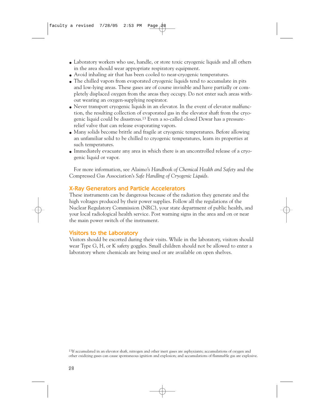- Laboratory workers who use, handle, or store toxic cryogenic liquids and all others in the area should wear appropriate respiratory equipment.
- Avoid inhaling air that has been cooled to near-cryogenic temperatures.
- The chilled vapors from evaporated cryogenic liquids tend to accumulate in pits and low-lying areas. These gases are of course invisible and have partially or completely displaced oxygen from the areas they occupy. Do not enter such areas without wearing an oxygen-supplying respirator.
- Never transport cryogenic liquids in an elevator. In the event of elevator malfunction, the resulting collection of evaporated gas in the elevator shaft from the cryogenic liquid could be disastrous.13 Even a so-called closed Dewar has a pressurerelief valve that can release evaporating vapors.
- Many solids become brittle and fragile at cryogenic temperatures. Before allowing an unfamiliar solid to be chilled to cryogenic temperatures, learn its properties at such temperatures.
- Immediately evacuate any area in which there is an uncontrolled release of a cryogenic liquid or vapor.

For more information, see Alaimo's *Handbook of Chemical Health and Safety* and the Compressed Gas Association's *Safe Handling of Cryogenic Liquids*.

#### X-Ray Generators and Particle Accelerators

These instruments can be dangerous because of the radiation they generate and the high voltages produced by their power supplies. Follow all the regulations of the Nuclear Regulatory Commission (NRC), your state department of public health, and your local radiological health service. Post warning signs in the area and on or near the main power switch of the instrument.

#### Visitors to the Laboratory

Visitors should be escorted during their visits. While in the laboratory, visitors should wear Type G, H, or K safety goggles. Small children should not be allowed to enter a laboratory where chemicals are being used or are available on open shelves.

<sup>13</sup>If accumulated in an elevator shaft, nitrogen and other inert gases are asphyxiants; accumulations of oxygen and other oxidizing gases can cause spontaneous ignition and explosion; and accumulations of flammable gas are explosive.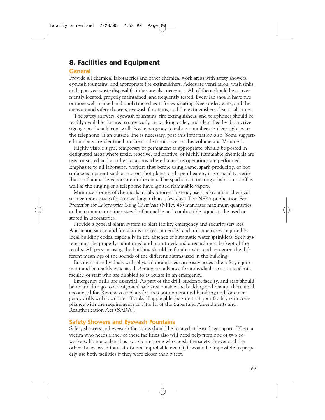## **8. Facilities and Equipment**

#### General

Provide all chemical laboratories and other chemical work areas with safety showers, eyewash fountains, and appropriate fire extinguishers. Adequate ventilation, wash sinks, and approved waste disposal facilities are also necessary. All of these should be conveniently located, properly maintained, and frequently tested. Every lab should have two or more well-marked and unobstructed exits for evacuating. Keep aisles, exits, and the areas around safety showers, eyewash fountains, and fire extinguishers clear at all times.

The safety showers, eyewash fountains, fire extinguishers, and telephones should be readily available, located strategically, in working order, and identified by distinctive signage on the adjacent wall. Post emergency telephone numbers in clear sight near the telephone. If an outside line is necessary, post this information also. Some suggested numbers are identified on the inside front cover of this volume and Volume 1.

Highly visible signs, temporary or permanent as appropriate, should be posted in designated areas where toxic, reactive, radioactive, or highly flammable chemicals are used or stored and at other locations where hazardous operations are performed. Emphasize to all laboratory workers that before using flame, spark-producing, or hot surface equipment such as motors, hot plates, and open heaters, it is crucial to verify that no flammable vapors are in the area. The sparks from turning a light on or off as well as the ringing of a telephone have ignited flammable vapors.

Minimize storage of chemicals in laboratories. Instead, use stockroom or chemical storage room spaces for storage longer than a few days. The NFPA publication *Fire Protection for Laboratories Using Chemicals* (NFPA 45) mandates maximum quantities and maximum container sizes for flammable and combustible liquids to be used or stored in laboratories.

Provide a general alarm system to alert facility emergency and security services. Automatic smoke and fire alarms are recommended and, in some cases, required by local building codes, especially in the absence of automatic water sprinklers. Such systems must be properly maintained and monitored, and a record must be kept of the results. All persons using the building should be familiar with and recognize the different meanings of the sounds of the different alarms used in the building.

Ensure that individuals with physical disabilities can easily access the safety equipment and be readily evacuated. Arrange in advance for individuals to assist students, faculty, or staff who are disabled to evacuate in an emergency.

Emergency drills are essential. As part of the drill, students, faculty, and staff should be required to go to a designated safe area outside the building and remain there until accounted for. Review your plans for fire containment and handling and for emergency drills with local fire officials. If applicable, be sure that your facility is in compliance with the requirements of Title III of the Superfund Amendments and Reauthorization Act (SARA).

#### Safety Showers and Eyewash Fountains

Safety showers and eyewash fountains should be located at least 5 feet apart. Often, a victim who needs either of these facilities also will need help from one or two coworkers. If an accident has two victims, one who needs the safety shower and the other the eyewash fountain (a not improbable event), it would be impossible to properly use both facilities if they were closer than 5 feet.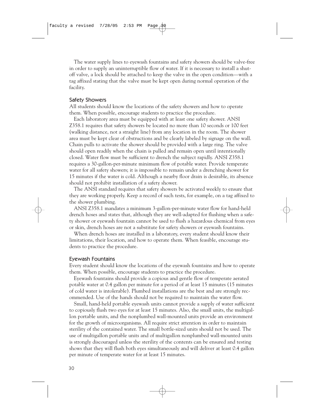The water supply lines to eyewash fountains and safety showers should be valve-free in order to supply an uninterruptible flow of water. If it is necessary to install a shutoff valve, a lock should be attached to keep the valve in the open condition—with a tag affixed stating that the valve must be kept open during normal operation of the facility.

#### Safety Showers

All students should know the locations of the safety showers and how to operate them. When possible, encourage students to practice the procedure.

Each laboratory area must be equipped with at least one safety shower. ANSI Z358.1 requires that safety showers be located no more than 10 seconds or 100 feet (walking distance, not a straight line) from any location in the room. The shower area must be kept clear of obstructions and be clearly labeled by signage on the wall. Chain pulls to activate the shower should be provided with a large ring. The valve should open readily when the chain is pulled and remain open until intentionally closed. Water flow must be sufficient to drench the subject rapidly. ANSI Z358.1 requires a 30-gallon-per-minute minimum flow of potable water. Provide temperate water for all safety showers; it is impossible to remain under a drenching shower for 15 minutes if the water is cold. Although a nearby floor drain is desirable, its absence should not prohibit installation of a safety shower.

The ANSI standard requires that safety showers be activated weekly to ensure that they are working properly. Keep a record of such tests, for example, on a tag affixed to the shower plumbing.

ANSI Z358.1 mandates a minimum 3-gallon-per-minute water flow for hand-held drench hoses and states that, although they are well-adapted for flushing when a safety shower or eyewash fountain cannot be used to flush a hazardous chemical from eyes or skin, drench hoses are not a substitute for safety showers or eyewash fountains.

When drench hoses are installed in a laboratory, every student should know their limitations, their location, and how to operate them. When feasible, encourage students to practice the procedure.

#### Eyewash Fountains

Every student should know the locations of the eyewash fountains and how to operate them. When possible, encourage students to practice the procedure.

Eyewash fountains should provide a copious and gentle flow of temperate aerated potable water at 0.4 gallon per minute for a period of at least 15 minutes (15 minutes of cold water is intolerable). Plumbed installations are the best and are strongly recommended. Use of the hands should not be required to maintain the water flow.

Small, hand-held portable eyewash units cannot provide a supply of water sufficient to copiously flush two eyes for at least 15 minutes. Also, the small units, the multigallon portable units, and the nonplumbed wall-mounted units provide an environment for the growth of microorganisms. All require strict attention in order to maintain sterility of the contained water. The small bottle-sized units should not be used. The use of multigallon portable units and of multigallon nonplumbed wall-mounted units is strongly discouraged unless the sterility of the contents can be ensured and testing shows that they will flush both eyes simultaneously and will deliver at least 0.4 gallon per minute of temperate water for at least 15 minutes.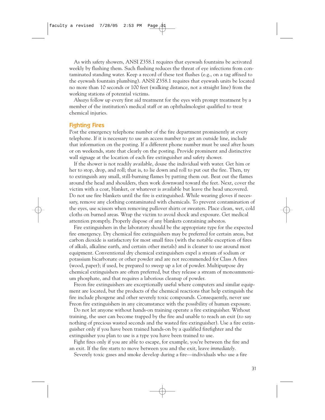As with safety showers, ANSI Z358.1 requires that eyewash fountains be activated weekly by flushing them. Such flushing reduces the threat of eye infections from contaminated standing water. Keep a record of these test flushes (e.g., on a tag affixed to the eyewash fountain plumbing). ANSI Z358.1 requires that eyewash units be located no more than 10 seconds or 100 feet (walking distance, not a straight line) from the working stations of potential victims.

*Always* follow up every first aid treatment for the eyes with prompt treatment by a member of the institution's medical staff or an ophthalmologist qualified to treat chemical injuries.

#### Fighting Fires

Post the emergency telephone number of the fire department prominently at every telephone. If it is necessary to use an access number to get an outside line, include that information on the posting. If a different phone number must be used after hours or on weekends, state that clearly on the posting. Provide prominent and distinctive wall signage at the location of each fire extinguisher and safety shower.

If the shower is not readily available, douse the individual with water. Get him or her to stop, drop, and roll; that is, to lie down and roll to put out the fire. Then, try to extinguish any small, still-burning flames by patting them out. Beat out the flames around the head and shoulders, then work downward toward the feet. Next, cover the victim with a coat, blanket, or whatever is available but leave the head uncovered. Do not use fire blankets until the fire is extinguished. While wearing gloves if necessary, remove any clothing contaminated with chemicals. To prevent contamination of the eyes, use scissors when removing pullover shirts or sweaters. Place clean, wet, cold cloths on burned areas. Wrap the victim to avoid shock and exposure. Get medical attention promptly. Properly dispose of any blankets containing asbestos.

Fire extinguishers in the laboratory should be the appropriate type for the expected fire emergency. Dry chemical fire extinguishers may be preferred for certain areas, but carbon dioxide is satisfactory for most small fires (with the notable exception of fires of alkali, alkaline earth, and certain other metals) and is cleaner to use around most equipment. Conventional dry chemical extinguishers expel a stream of sodium or potassium bicarbonate or other powder and are not recommended for Class A fires (wood, paper); if used, be prepared to sweep up a lot of powder. Multipurpose dry chemical extinguishers are often preferred, but they release a stream of monoammonium phosphate, and that requires a laborious cleanup of powder.

Freon fire extinguishers are exceptionally useful where computers and similar equipment are located, but the products of the chemical reactions that help extinguish the fire include phosgene and other severely toxic compounds. Consequently, never use Freon fire extinguishers in any circumstance with the possibility of human exposure.

Do not let anyone without hands-on training operate a fire extinguisher. Without training, the user can become trapped by the fire and unable to reach an exit (to say nothing of precious wasted seconds and the wasted fire extinguisher). Use a fire extinguisher only if you have been trained hands-on by a qualified firefighter and the extinguisher you plan to use is a type you have been trained to use.

Fight fires only if you are able to escape, for example, you're between the fire and an exit. If the fire starts to move between you and the exit, leave *immediately.* 

Severely toxic gases and smoke develop during a fire—individuals who use a fire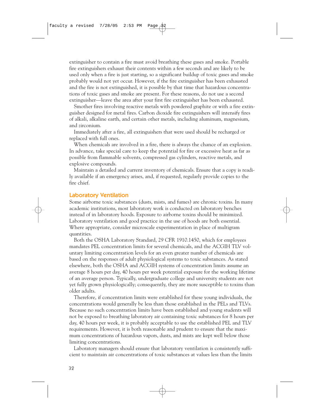extinguisher to contain a fire must avoid breathing these gases and smoke. Portable fire extinguishers exhaust their contents within a few seconds and are likely to be used only when a fire is just starting, so a significant buildup of toxic gases and smoke probably would not yet occur. However, if the fire extinguisher has been exhausted and the fire is not extinguished, it is possible by that time that hazardous concentrations of toxic gases and smoke are present. For these reasons, do not use a second extinguisher—leave the area after your first fire extinguisher has been exhausted.

Smother fires involving reactive metals with powdered graphite or with a fire extinguisher designed for metal fires. Carbon dioxide fire extinguishers will intensify fires of alkali, alkaline earth, and certain other metals, including aluminum, magnesium, and zirconium.

Immediately after a fire, all extinguishers that were used should be recharged or replaced with full ones.

When chemicals are involved in a fire, there is always the chance of an explosion. In advance, take special care to keep the potential for fire or excessive heat as far as possible from flammable solvents, compressed gas cylinders, reactive metals, and explosive compounds.

Maintain a detailed and current inventory of chemicals. Ensure that a copy is readily available if an emergency arises, and, if requested, regularly provide copies to the fire chief.

#### Laboratory Ventilation

Some airborne toxic substances (dusts, mists, and fumes) are chronic toxins. In many academic institutions, most laboratory work is conducted on laboratory benches instead of in laboratory hoods. Exposure to airborne toxins should be minimized. Laboratory ventilation and good practice in the use of hoods are both essential. Where appropriate, consider microscale experimentation in place of multigram quantities.

Both the OSHA Laboratory Standard, 29 CFR 1910.1450, which for employees mandates PEL concentration limits for several chemicals, and the ACGIH TLV voluntary limiting concentration levels for an even greater number of chemicals are based on the responses of adult physiological systems to toxic substances. As stated elsewhere, both the OSHA and ACGIH systems of concentration limits assume an average 8 hours per day, 40 hours per week potential exposure for the working lifetime of an average person. Typically, undergraduate college and university students are not yet fully grown physiologically; consequently, they are more susceptible to toxins than older adults.

Therefore, if concentration limits were established for these young individuals, the concentrations would generally be less than those established in the PELs and TLVs. Because no such concentration limits have been established and young students will not be exposed to breathing laboratory air containing toxic substances for 8 hours per day, 40 hours per week, it is probably acceptable to use the established PEL and TLV requirements. However, it is both reasonable and prudent to ensure that the maximum concentrations of hazardous vapors, dusts, and mists are kept well below those limiting concentrations.

Laboratory managers should ensure that laboratory ventilation is consistently sufficient to maintain air concentrations of toxic substances at values less than the limits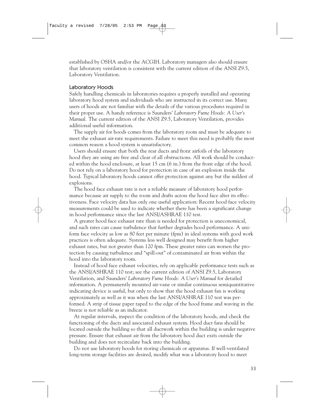established by OSHA and/or the ACGIH. Laboratory managers also should ensure that laboratory ventilation is consistent with the current edition of the ANSI Z9.5, Laboratory Ventilation.

#### Laboratory Hoods

Safely handling chemicals in laboratories requires a properly installed and operating laboratory hood system and individuals who are instructed in its correct use. Many users of hoods are not familiar with the details of the various procedures required in their proper use. A handy reference is Saunders' *Laboratory Fume Hoods: A User's Manual.* The current edition of the ANSI Z9.5, Laboratory Ventilation, provides additional useful information.

The supply air for hoods comes from the laboratory room and must be adequate to meet the exhaust air-rate requirements. Failure to meet this need is probably the most common reason a hood system is unsatisfactory.

Users should ensure that both the rear ducts and front airfoils of the laboratory hood they are using are free and clear of all obstructions. All work should be conducted within the hood enclosure, at least 15 cm (6 in.) from the front edge of the hood. Do not rely on a laboratory hood for protection in case of an explosion inside the hood. Typical laboratory hoods cannot offer protection against any but the mildest of explosions.

The hood face exhaust rate is not a reliable measure of laboratory hood performance because air supply to the room and drafts across the hood face alter its effectiveness. Face velocity data has only one useful application: Recent hood face velocity measurements could be used to indicate whether there has been a significant change in hood performance since the last ANSI/ASHRAE 110 test.

A greater hood face exhaust rate than is needed for protection is uneconomical, and such rates can cause turbulence that further degrades hood performance. A uniform face velocity as low as 80 feet per minute (fpm) in ideal systems with good work practices is often adequate. Systems less well designed may benefit from higher exhaust rates, but not greater than 120 fpm. These greater rates can worsen the protection by causing turbulence and "spill-out" of contaminated air from within the hood into the laboratory room.

Instead of hood face exhaust velocities, rely on applicable performance tests such as the ANSI/ASHRAE 110 test; see the current edition of ANSI Z9.5, Laboratory Ventilation, and Saunders' *Laboratory Fume Hoods: A User's Manual* for detailed information. A permanently mounted air-vane or similar continuous semiquantitative indicating device is useful, but only to show that the hood exhaust fan is working approximately as well as it was when the last ANSI/ASHRAE 110 test was performed. A strip of tissue paper taped to the edge of the hood frame and waving in the breeze is not reliable as an indicator.

At regular intervals, inspect the condition of the laboratory hoods, and check the functioning of the ducts and associated exhaust system. Hood duct fans should be located outside the building so that all ductwork within the building is under negative pressure. Ensure that exhaust air from the laboratory hood duct exits outside the building and does not recirculate back into the building.

Do not use laboratory hoods for storing chemicals or apparatus. If well-ventilated long-term storage facilities are desired, modify what was a laboratory hood to meet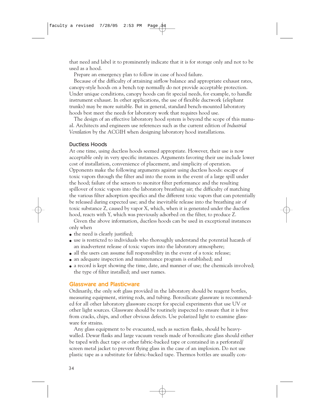that need and label it to prominently indicate that it is for storage only and not to be used as a hood.

Prepare an emergency plan to follow in case of hood failure.

Because of the difficulty of attaining airflow balance and appropriate exhaust rates, canopy-style hoods on a bench top normally do not provide acceptable protection. Under unique conditions, canopy hoods can fit special needs, for example, to handle instrument exhaust. In other applications, the use of flexible ductwork (elephant trunks) may be more suitable. But in general, standard bench-mounted laboratory hoods best meet the needs for laboratory work that requires hood use.

The design of an effective laboratory hood system is beyond the scope of this manual. Architects and engineers use references such as the current edition of *Industrial Ventilation* by the ACGIH when designing laboratory hood installations.

#### Ductless Hoods

At one time, using ductless hoods seemed appropriate. However, their use is now acceptable only in very specific instances. Arguments favoring their use include lower cost of installation, convenience of placement, and simplicity of operation. Opponents make the following arguments against using ductless hoods: escape of toxic vapors through the filter and into the room in the event of a large spill under the hood; failure of the sensors to monitor filter performance and the resulting spillover of toxic vapors into the laboratory breathing air; the difficulty of matching the various filter adsorption specifics and the different toxic vapors that can potentially be released during expected use; and the inevitable release into the breathing air of toxic substance Z, caused by vapor X, which, when it is generated under the ductless hood, reacts with Y, which was previously adsorbed on the filter, to produce Z.

Given the above information, ductless hoods can be used in exceptional instances only when

- the need is clearly justified;
- use is restricted to individuals who thoroughly understand the potential hazards of an inadvertent release of toxic vapors into the laboratory atmosphere;
- all the users can assume full responsibility in the event of a toxic release;
- an adequate inspection and maintenance program is established; and
- a record is kept showing the time, date, and manner of use; the chemicals involved; the type of filter installed; and user names.

#### Glassware and Plasticware

Ordinarily, the only soft glass provided in the laboratory should be reagent bottles, measuring equipment, stirring rods, and tubing. Borosilicate glassware is recommended for all other laboratory glassware except for special experiments that use UV or other light sources. Glassware should be routinely inspected to ensure that it is free from cracks, chips, and other obvious defects. Use polarized light to examine glassware for strains.

Any glass equipment to be evacuated, such as suction flasks, should be heavywalled. Dewar flasks and large vacuum vessels made of borosilicate glass should either be taped with duct tape or other fabric-backed tape or contained in a perforated/ screen metal jacket to prevent flying glass in the case of an implosion. Do not use plastic tape as a substitute for fabric-backed tape. Thermos bottles are usually con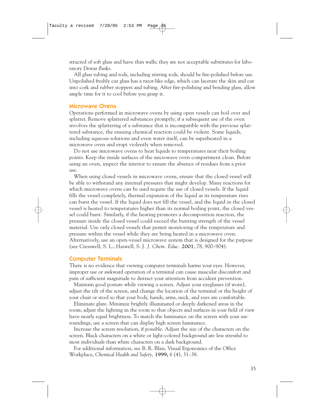structed of soft glass and have thin walls; they are not acceptable substitutes for laboratory Dewar flasks.

All glass tubing and rods, including stirring rods, should be fire-polished before use. Unpolished freshly cut glass has a razor-like edge, which can lacerate the skin and cut into cork and rubber stoppers and tubing. After fire-polishing and bending glass, allow ample time for it to cool before you grasp it.

#### Microwave Ovens

Operations performed in microwave ovens by using open vessels can boil over and splatter. Remove splattered substances promptly; if a subsequent use of the oven involves the splattering of a substance that is incompatible with the previous splattered substance, the ensuing chemical reaction could be violent. Some liquids, including aqueous solutions and even water itself, can be superheated in a microwave oven and erupt violently when removed.

Do not use microwave ovens to heat liquids to temperatures near their boiling points. Keep the inside surfaces of the microwave oven compartment clean. Before using an oven, inspect the interior to ensure the absence of residues from a prior use.

When using closed vessels in microwave ovens, ensure that the closed vessel will be able to withstand any internal pressures that might develop. Many reactions for which microwave ovens can be used require the use of closed vessels. If the liquid fills the vessel completely, thermal expansion of the liquid as its temperature rises can burst the vessel. If the liquid does not fill the vessel, and the liquid in the closed vessel is heated to temperatures higher than its normal boiling point, the closed vessel could burst. Similarly, if the heating promotes a decomposition reaction, the pressure inside the closed vessel could exceed the bursting strength of the vessel material. Use only closed vessels that permit monitoring of the temperature and pressure within the vessel while they are being heated in a microwave oven. Alternatively, use an open-vessel microwave system that is designed for the purpose (see Cresswell, S. L.; Haswell, S. J*. J. Chem. Educ.* **2001**, *78*, 900–904).

#### Computer Terminals

There is no evidence that viewing computer terminals harms your eyes. However, improper use or awkward operation of a terminal can cause muscular discomfort and pain of sufficient magnitude to distract your attention from accident prevention.

Maintain good posture while viewing a screen. Adjust your eyeglasses (if worn), adjust the tilt of the screen, and change the location of the terminal or the height of your chair or stool so that your body, hands, arms, neck, and eyes are comfortable.

Eliminate glare. Minimize brightly illuminated or deeply darkened areas in the room; adjust the lighting in the room so that objects and surfaces in your field of view have nearly equal brightness. To match the luminance on the screen with your surroundings, use a screen that can display high screen luminance.

Increase the screen resolution, if possible. Adjust the size of the characters on the screen. Black characters on a white or light-colored background are less stressful to most individuals than white characters on a dark background.

For additional information, see B. R. Blais, Visual Ergonomics of the Office Workplace, *Chemical Health and Safety,* **1999,** *6* (4), 31–38.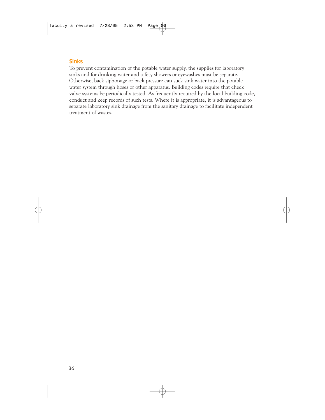#### Sinks

To prevent contamination of the potable water supply, the supplies for laboratory sinks and for drinking water and safety showers or eyewashes must be separate. Otherwise, back siphonage or back pressure can suck sink water into the potable water system through hoses or other apparatus. Building codes require that check valve systems be periodically tested. As frequently required by the local building code, conduct and keep records of such tests. Where it is appropriate, it is advantageous to separate laboratory sink drainage from the sanitary drainage to facilitate independent treatment of wastes.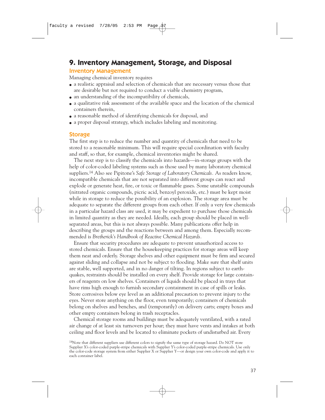## **9. Inventory Management, Storage, and Disposal**

#### Inventory Management

Managing chemical inventory requires

- a realistic appraisal and selection of chemicals that are necessary versus those that are desirable but not required to conduct a viable chemistry program,
- $\bullet$  an understanding of the incompatibility of chemicals,
- a qualitative risk assessment of the available space and the location of the chemical containers therein,
- a reasonable method of identifying chemicals for disposal, and
- a proper disposal strategy, which includes labeling and monitoring.

#### **Storage**

The first step is to reduce the number and quantity of chemicals that need to be stored to a reasonable minimum. This will require special coordination with faculty and staff, so that, for example, chemical inventories might be shared.

The next step is to classify the chemicals into hazards—in-storage groups with the help of color-coded labeling systems such as those used by many laboratory chemical suppliers.14 Also see Pipitone's *Safe Storage of Laboratory Chemicals.* As readers know, incompatible chemicals that are not separated into different groups can react and explode or generate heat, fire, or toxic or flammable gases. Some unstable compounds (nitrated organic compounds, picric acid, benzoyl peroxide, etc.) must be kept moist while in storage to reduce the possibility of an explosion. The storage area must be adequate to separate the different groups from each other. If only a very few chemicals in a particular hazard class are used, it may be expedient to purchase those chemicals in limited quantity as they are needed. Ideally, each group should be placed in wellseparated areas, but this is not always possible. Many publications offer help in describing the groups and the reactions between and among them. Especially recommended is *Bretherick's Handbook of Reactive Chemical Hazards.*

Ensure that security procedures are adequate to prevent unauthorized access to stored chemicals. Ensure that the housekeeping practices for storage areas will keep them neat and orderly. Storage shelves and other equipment must be firm and secured against sliding and collapse and not be subject to flooding. Make sure that shelf units are stable, well supported, and in no danger of tilting. In regions subject to earthquakes, restraints should be installed on every shelf. Provide storage for large containers of reagents on low shelves. Containers of liquids should be placed in trays that have rims high enough to furnish secondary containment in case of spills or leaks. Store corrosives below eye level as an additional precaution to prevent injury to the eyes. Never store anything on the floor, even temporarily; containers of chemicals belong on shelves and benches, and (temporarily) on delivery carts; empty boxes and other empty containers belong in trash receptacles.

Chemical storage rooms and buildings must be adequately ventilated, with a rated air change of at least six turnovers per hour; they must have vents and intakes at both ceiling and floor levels and be located to eliminate pockets of undisturbed air. Every

<sup>&</sup>lt;sup>14</sup>Note that different suppliers use different colors to signify the same type of storage hazard. Do NOT store Supplier X's color-coded purple-stripe chemicals with Supplier Y's color-coded purple-stripe chemicals. Use only the color-code storage system from either Supplier X or Supplier Y—or design your own color-code and apply it to each container label.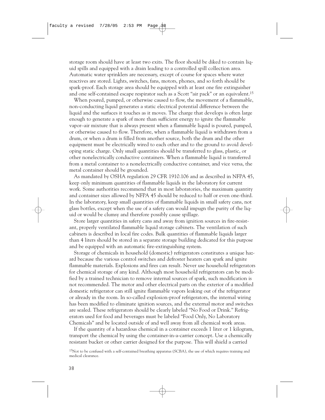storage room should have at least two exits. The floor should be diked to contain liquid spills and equipped with a drain leading to a controlled spill collection area. Automatic water sprinklers are necessary, except of course for spaces where water reactives are stored. Lights, switches, fans, motors, phones, and so forth should be spark-proof. Each storage area should be equipped with at least one fire extinguisher and one self-contained escape respirator such as a Scott "air pack" or an equivalent.15

When poured, pumped, or otherwise caused to flow, the movement of a flammable, non-conducting liquid generates a static electrical potential difference between the liquid and the surfaces it touches as it moves. The charge that develops is often large enough to generate a spark of more than sufficient energy to ignite the flammable vapor–air mixture that is always present when a flammable liquid is poured, pumped, or otherwise caused to flow. Therefore, when a flammable liquid is withdrawn from a drum, or when a drum is filled from another source, both the drum and the other equipment must be electrically wired to each other and to the ground to avoid developing static charge. Only small quantities should be transferred to glass, plastic, or other nonelectrically conductive containers. When a flammable liquid is transferred from a metal container to a nonelectrically conductive container, and vice versa, the metal container should be grounded.

As mandated by OSHA regulation 29 CFR 1910.106 and as described in NFPA 45, keep only minimum quantities of flammable liquids in the laboratory for current work. Some authorities recommend that in most laboratories, the maximum quantity and container sizes allowed by NFPA 45 should be reduced to half or even one-third. In the laboratory, keep small quantities of flammable liquids in small safety cans, not glass bottles, except when the use of a safety can would impugn the purity of the liquid or would be clumsy and therefore possibly cause spillage.

Store larger quantities in safety cans and away from ignition sources in fire-resistant, properly ventilated flammable liquid storage cabinets. The ventilation of such cabinets is described in local fire codes. Bulk quantities of flammable liquids larger than 4 liters should be stored in a separate storage building dedicated for this purpose and be equipped with an automatic fire-extinguishing system.

Storage of chemicals in household (domestic) refrigerators constitutes a unique hazard because the various control switches and defroster heaters can spark and ignite flammable materials. Explosions and fires can result. Never use household refrigerators for chemical storage of any kind. Although most household refrigerators can be modified by a trained technician to remove internal sources of spark, such modification is not recommended. The motor and other electrical parts on the exterior of a modified domestic refrigerator can still ignite flammable vapors leaking out of the refrigerator or already in the room. In so-called explosion-proof refrigerators, the internal wiring has been modified to eliminate ignition sources, and the external motor and switches are sealed. These refrigerators should be clearly labeled "No Food or Drink." Refrigerators used for food and beverages must be labeled "Food Only, No Laboratory Chemicals" and be located outside of and well away from all chemical work areas.

If the quantity of a hazardous chemical in a container exceeds 1 liter or 1 kilogram, transport the chemical by using the container-in-a-carrier concept. Use a chemically resistant bucket or other carrier designed for the purpose. This will shield a carried

<sup>15</sup>Not to be confused with a self-contained breathing apparatus (SCBA), the use of which requires training and medical clearance.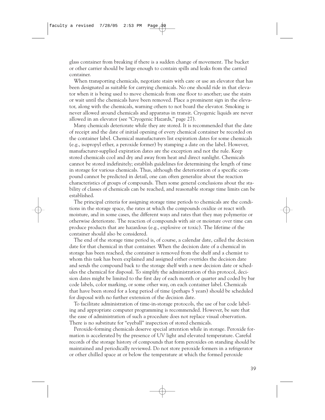glass container from breaking if there is a sudden change of movement. The bucket or other carrier should be large enough to contain spills and leaks from the carried container.

When transporting chemicals, negotiate stairs with care or use an elevator that has been designated as suitable for carrying chemicals. No one should ride in that elevator when it is being used to move chemicals from one floor to another; use the stairs or wait until the chemicals have been removed. Place a prominent sign in the elevator, along with the chemicals, warning others to not board the elevator. Smoking is never allowed around chemicals and apparatus in transit. Cryogenic liquids are never allowed in an elevator (see "Cryogenic Hazards," page 27).

Many chemicals deteriorate while they are stored. It is recommended that the date of receipt and the date of initial opening of every chemical container be recorded on the container label. Chemical manufacturers list expiration dates for some chemicals (e.g., isopropyl ether, a peroxide former) by stamping a date on the label. However, manufacturer-supplied expiration dates are the exception and not the rule. Keep stored chemicals cool and dry and away from heat and direct sunlight. Chemicals cannot be stored indefinitely; establish guidelines for determining the length of time in storage for various chemicals. Thus, although the deterioration of a specific compound cannot be predicted in detail, one can often generalize about the reaction characteristics of groups of compounds. Then some general conclusions about the stability of classes of chemicals can be reached, and reasonable storage time limits can be established.

The principal criteria for assigning storage time periods to chemicals are the conditions in the storage space, the rates at which the compounds oxidize or react with moisture, and in some cases, the different ways and rates that they may polymerize or otherwise deteriorate. The reaction of compounds with air or moisture over time can produce products that are hazardous (e.g., explosive or toxic). The lifetime of the container should also be considered.

The end of the storage time period is, of course, a calendar date, called the decision date for that chemical in that container. When the decision date of a chemical in storage has been reached, the container is removed from the shelf and a chemist to whom this task has been explained and assigned either overrides the decision date and sends the compound back to the storage shelf with a new decision date or schedules the chemical for disposal. To simplify the administration of this protocol, decision dates might be limited to the first day of each month or quarter and coded by bar code labels, color marking, or some other way, on each container label. Chemicals that have been stored for a long period of time (perhaps 5 years) should be scheduled for disposal with no further extension of the decision date.

To facilitate administration of time-in-storage protocols, the use of bar code labeling and appropriate computer programming is recommended. However, be sure that the ease of administration of such a procedure does not replace visual observation. There is no substitute for "eyeball" inspection of stored chemicals.

Peroxide-forming chemicals deserve special attention while in storage. Peroxide formation is accelerated by the presence of UV light and elevated temperature. Careful records of the storage history of compounds that form peroxides on standing should be maintained and periodically reviewed. Do not store peroxide formers in a refrigerator or other chilled space at or below the temperature at which the formed peroxide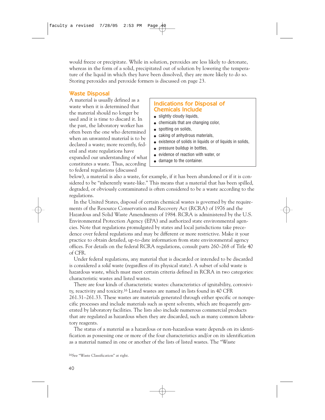would freeze or precipitate. While in solution, peroxides are less likely to detonate, whereas in the form of a solid, precipitated out of solution by lowering the temperature of the liquid in which they have been dissolved, they are more likely to do so. Storing peroxides and peroxide formers is discussed on page 23.

#### Waste Disposal

A material is usually defined as a waste when it is determined that the material should no longer be used and it is time to discard it. In the past, the laboratory worker has often been the one who determined when an unwanted material is to be declared a waste; more recently, federal and state regulations have expanded our understanding of what constitutes a waste. Thus, according to federal regulations (discussed

#### Indications for Disposal of Chemicals Include

- slightly cloudy liquids.
- chemicals that are changing color,
- spotting on solids,
- caking of anhydrous materials,
- existence of solids in liquids or of liquids in solids,
- pressure buildup in bottles,
- evidence of reaction with water, or
- damage to the container.

below), a material is also a waste, for example, if it has been abandoned or if it is considered to be "inherently waste-like." This means that a material that has been spilled, degraded, or obviously contaminated is often considered to be a waste according to the regulations.

In the United States, disposal of certain chemical wastes is governed by the requirements of the Resource Conservation and Recovery Act (RCRA) of 1976 and the Hazardous and Solid Waste Amendments of 1984. RCRA is administered by the U.S. Environmental Protection Agency (EPA) and authorized state environmental agencies. Note that regulations promulgated by states and local jurisdictions take precedence over federal regulations and may be different or more restrictive. Make it your practice to obtain detailed, up-to-date information from state environmental agency offices. For details on the federal RCRA regulations, consult parts 260–268 of Title 40 of CFR.

Under federal regulations, any material that is discarded or intended to be discarded is considered a *solid* waste (regardless of its physical state). A subset of solid waste is hazardous waste, which must meet certain criteria defined in RCRA in two categories: characteristic wastes and listed wastes.

There are four kinds of characteristic wastes: characteristics of ignitability, corrosivity, reactivity and toxicity.16 Listed wastes are named in lists found in 40 CFR 261.31–261.33. These wastes are materials generated through either specific or nonspecific processes and include materials such as spent solvents, which are frequently generated by laboratory facilities. The lists also include numerous commercial products that are regulated as hazardous when they are discarded, such as many common laboratory reagents.

The status of a material as a hazardous or non-hazardous waste depends on its identification as possessing one or more of the four characteristics and/or on its identification as a material named in one or another of the lists of listed wastes. The "Waste

16See "Waste Classification" at right.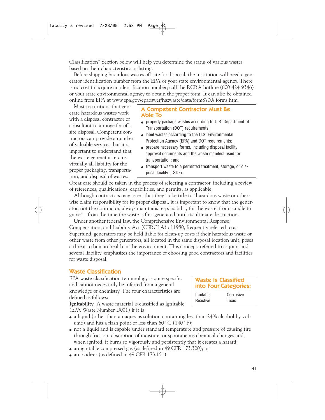Classification" Section below will help you determine the status of various wastes based on their characteristics or listing.

Before shipping hazardous wastes off-site for disposal, the institution will need a generator identification number from the EPA or your state environmental agency. There is no cost to acquire an identification number; call the RCRA hotline (800-424-9346) or your state environmental agency to obtain the proper form. It can also be obtained online from EPA at www.epa.gov/epaoswer/hazwaste/data/form8700/ forms.htm.

Most institutions that generate hazardous wastes work with a disposal contractor or consultant to arrange for offsite disposal. Competent contractors can provide a number of valuable services, but it is important to understand that the waste generator retains virtually all liability for the proper packaging, transportation, and disposal of wastes.

#### A Competent Contractor Must Be Able To

- properly package wastes according to U.S. Department of Transportation (DOT) requirements;
- label wastes according to the U.S. Environmental Protection Agency (EPA) and DOT requirements;
- prepare necessary forms, including disposal facility approval documents and the waste manifest used for transportation; and
- transport waste to a permitted treatment, storage, or disposal facility (TSDF).

Great care should be taken in the process of selecting a contractor, including a review of references, qualifications, capabilities, and permits, as applicable.

Although contractors may assert that they "take title to" hazardous waste or otherwise claim responsibility for its proper disposal, it is important to know that the generator, not the contractor, always maintains responsibility for the waste, from "cradle to grave"—from the time the waste is first generated until its ultimate destruction.

Under another federal law, the Comprehensive Environmental Response, Compensation, and Liability Act (CERCLA) of 1980, frequently referred to as Superfund, generators may be held liable for clean-up costs if their hazardous waste or other waste from other generators, all located in the same disposal location unit, poses a threat to human health or the environment. This concept, referred to as joint and several liability, emphasizes the importance of choosing good contractors and facilities for waste disposal.

#### Waste Classification

EPA waste classification terminology is quite specific and cannot necessarily be inferred from a general knowledge of chemistry. The four characteristics are defined as follows:

Waste Is Classified into Four Categories: Ignitable Corrosive Reactive Toxic

**Ignitability.** A waste material is classified as Ignitable (EPA Waste Number D001) if it is

- a liquid (other than an aqueous solution containing less than 24% alcohol by volume) and has a flash point of less than 60  $^{\circ}$ C (140  $^{\circ}$ F);
- not a liquid and is capable under standard temperature and pressure of causing fire through friction, absorption of moisture, or spontaneous chemical changes and, when ignited, it burns so vigorously and persistently that it creates a hazard;
- an ignitable compressed gas (as defined in 49 CFR 173.300); or
- an oxidizer (as defined in 49 CFR 173.151).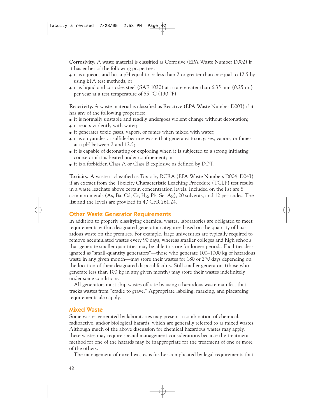**Corrosivity.** A waste material is classified as Corrosive (EPA Waste Number D002) if it has either of the following properties:

- $\bullet$  it is aqueous and has a pH equal to or less than 2 or greater than or equal to 12.5 by using EPA test methods, or
- it is liquid and corrodes steel (SAE 1020) at a rate greater than 6.35 mm (0.25 in.) per year at a test temperature of 55 °C (130 °F).

**Reactivity.** A waste material is classified as Reactive (EPA Waste Number D003) if it has any of the following properties:

- it is normally unstable and readily undergoes violent change without detonation;
- it reacts violently with water;
- it generates toxic gases, vapors, or fumes when mixed with water;
- it is a cyanide- or sulfide-bearing waste that generates toxic gases, vapors, or fumes at a pH between 2 and 12.5;
- it is capable of detonating or exploding when it is subjected to a strong initiating course or if it is heated under confinement; or
- it is a forbidden Class A or Class B explosive as defined by DOT.

**Toxicity.** A waste is classified as Toxic by RCRA (EPA Waste Numbers D004–D043) if an extract from the Toxicity Characteristic Leaching Procedure (TCLP) test results in a waste leachate above certain concentration levels. Included on the list are 8 common metals (As, Ba, Cd, Cr, Hg, Pb, Se, Ag), 20 solvents, and 12 pesticides. The list and the levels are provided in 40 CFR 261.24.

#### Other Waste Generator Requirements

In addition to properly classifying chemical wastes, laboratories are obligated to meet requirements within designated generator categories based on the quantity of hazardous waste on the premises. For example, large universities are typically required to remove accumulated wastes every 90 days, whereas smaller colleges and high schools that generate smaller quantities may be able to store for longer periods. Facilities designated as "small-quantity generators"—those who generate 100–1000 kg of hazardous waste in any given month—may store their wastes for 180 or 270 days depending on the location of their designated disposal facility. Still smaller generators (those who generate less than 100 kg in any given month) may store their wastes indefinitely under some conditions.

All generators must ship wastes off-site by using a hazardous waste manifest that tracks wastes from "cradle to grave." Appropriate labeling, marking, and placarding requirements also apply.

#### Mixed Waste

Some wastes generated by laboratories may present a combination of chemical, radioactive, and/or biological hazards, which are generally referred to as mixed wastes. Although much of the above discussion for chemical hazardous wastes may apply, these wastes may require special management considerations because the treatment method for one of the hazards may be inappropriate for the treatment of one or more of the others.

The management of mixed wastes is further complicated by legal requirements that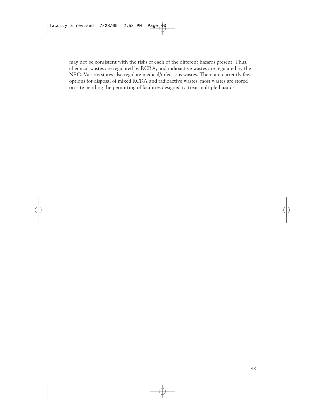may not be consistent with the risks of each of the different hazards present. Thus, chemical wastes are regulated by RCRA, and radioactive wastes are regulated by the NRC. Various states also regulate medical/infectious wastes. There are currently few options for disposal of mixed RCRA and radioactive wastes; most wastes are stored on-site pending the permitting of facilities designed to treat multiple hazards.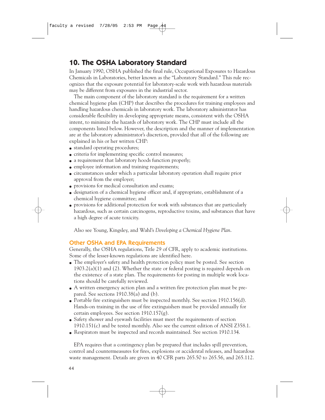# **10. The OSHA Laboratory Standard**

In January 1990, OSHA published the final rule, Occupational Exposures to Hazardous Chemicals in Laboratories, better known as the "Laboratory Standard." This rule recognizes that the exposure potential for laboratory-scale work with hazardous materials may be different from exposures in the industrial sector.

The main component of the laboratory standard is the requirement for a written chemical hygiene plan (CHP) that describes the procedures for training employees and handling hazardous chemicals in laboratory work. The laboratory administrator has considerable flexibility in developing appropriate means, consistent with the OSHA intent, to minimize the hazards of laboratory work. The CHP must include all the components listed below. However, the description and the manner of implementation are at the laboratory administrator's discretion, provided that all of the following are explained in his or her written CHP:

- standard operating procedures;
- criteria for implementing specific control measures;
- a requirement that laboratory hoods function properly;
- employee information and training requirements;
- circumstances under which a particular laboratory operation shall require prior approval from the employer;
- provisions for medical consultation and exams;
- designation of a chemical hygiene officer and, if appropriate, establishment of a chemical hygiene committee; and
- provisions for additional protection for work with substances that are particularly hazardous, such as certain carcinogens, reproductive toxins, and substances that have a high degree of acute toxicity.

Also see Young, Kingsley, and Wahl's *Developing a Chemical Hygiene Plan*.

#### Other OSHA and EPA Requirements

Generally, the OSHA regulations, Title 29 of CFR, apply to academic institutions. Some of the lesser-known regulations are identified here.

- The employer's safety and health protection policy must be posted. See section  $1903.2(a)(1)$  and (2). Whether the state or federal posting is required depends on the existence of a state plan. The requirements for posting in multiple work locations should be carefully reviewed.
- A written emergency action plan and a written fire protection plan must be prepared. See sections 1910.38(a) and (b).
- Portable fire extinguishers must be inspected monthly. See section  $1910.156(d)$ . Hands-on training in the use of fire extinguishers must be provided annually for certain employees. See section 1910.157(g).
- Safety shower and eyewash facilities must meet the requirements of section 1910.151(c) and be tested monthly. Also see the current edition of ANSI Z358.1.
- Respirators must be inspected and records maintained. See section 1910.134.

EPA requires that a contingency plan be prepared that includes spill prevention, control and countermeasures for fires, explosions or accidental releases, and hazardous waste management. Details are given in 40 CFR parts 265.50 to 265.56, and 265.112.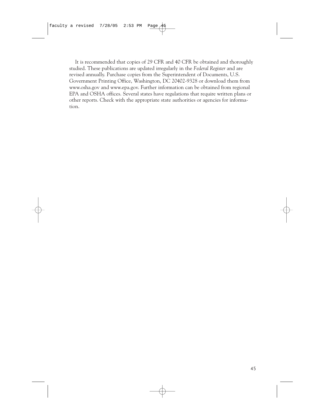It is recommended that copies of 29 CFR and 40 CFR be obtained and thoroughly studied. These publications are updated irregularly in the *Federal Register* and are revised annually. Purchase copies from the Superintendent of Documents, U.S. Government Printing Office, Washington, DC 20402-9328 or download them from www.osha.gov and www.epa.gov. Further information can be obtained from regional EPA and OSHA offices. Several states have regulations that require written plans or other reports. Check with the appropriate state authorities or agencies for information.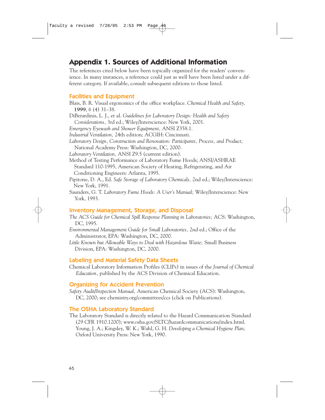# **Appendix 1. Sources of Additional Information**

The references cited below have been topically organized for the readers' convenience. In many instances, a reference could just as well have been listed under a different category. If available, consult subsequent editions to those listed.

#### Facilities and Equipment

- Blais, B. R. Visual ergonomics of the office workplace. *Chemical Health and Safety,* **1999**, *6* (4) 31–38.
- DiBerardinis, L. J., et al. *Guidelines for Laboratory Design: Health and Safety Considerations,* 3rd ed.; Wiley/Interscience: New York, 2001.
- *Emergency Eyewash and Shower Equipment,* ANSI Z358.1.
- *Industrial Ventilation,* 24th edition; ACGIH: Cincinnati.
- *Laboratory Design, Construction and Renovation: Participants, Process, and Product;* National Academy Press: Washington, DC, 2000.
- *Laboratory Ventilation,* ANSI Z9.5 (current edition).
- Method of Testing Performance of Laboratory Fume Hoods; ANSI/ASHRAE Standard 110-1995, American Society of Heating, Refrigerating, and Air Conditioning Engineers: Atlanta, 1995.
- Pipitone, D. A., Ed. *Safe Storage of Laboratory Chemicals,* 2nd ed.; Wiley/Interscience: New York, 1991.
- Saunders, G. T. *Laboratory Fume Hoods: A User's Manual;* Wiley/Interscience: New York, 1993.

#### Inventory Management, Storage, and Disposal

- *The ACS Guide for Chemical Spill Response Planning in Laboratories;* ACS: Washington, DC, 1995.
- *Environmental Management Guide for Small Laboratories,* 2nd ed.; Office of the Administrator, EPA: Washington, DC, 2000.
- *Little Known but Allowable Ways to Deal with Hazardous Waste;* Small Business Division, EPA: Washington, DC, 2000.

#### Labeling and Material Safety Data Sheets

Chemical Laboratory Information Profiles (CLIPs) in issues of the *Journal of Chemical Education,* published by the ACS Division of Chemical Education.

#### Organizing for Accident Prevention

*Safety Audit/Inspection Manual,* American Chemical Society (ACS): Washington, DC, 2000; see chemistry.org/committees/ccs (click on Publications).

#### The OSHA Laboratory Standard

The Laboratory Standard is directly related to the Hazard Communication Standard (29 CFR 1910.1200); www.osha.gov/SLTC/hazardcommunications/index.html. Young, J. A.; Kingsley, W. K.; Wahl, G. H. *Developing a Chemical Hygiene Plan;* Oxford University Press: New York, 1990.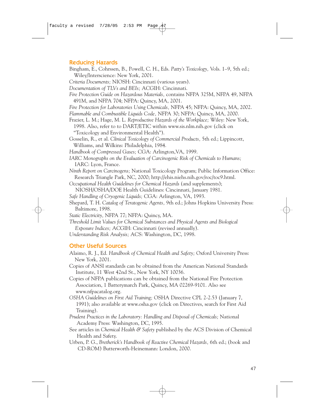#### Reducing Hazards

- Bingham, E., Cohrssen, B., Powell, C. H., Eds. *Patty's Toxicology,* Vols. 1–9, 5th ed.; Wiley/Interscience: New York, 2001.
- *Criteria Documents;* NIOSH: Cincinnati (various years).
- *Documentation of TLVs and BEIs;* ACGIH: Cincinnati.
- *Fire Protection Guide on Hazardous Materials,* contains NFPA 325M, NFPA 49, NFPA 491M, and NFPA 704; NFPA: Quincy, MA, 2001.
- *Fire Protection for Laboratories Using Chemicals,* NFPA 45; NFPA: Quincy, MA, 2002.
- *Flammable and Combustible Liquids Code,* NFPA 30; NFPA: Quincy, MA, 2000.
- Frazier, L. M.; Hage, M. L. *Reproductive Hazards of the Workplace;* Wiley: New York, 1998. Also, refer to to DART/ETIC within www.sis.nlm.nih.gov (click on "Toxicology and Environmental Health").
- Gosselin, R., et al. *Clinical Toxicology of Commercial Products,* 5th ed.; Lippincott, Williams, and Wilkins: Philadelphia, 1984.
- *Handbook of Compressed Gases;* CGA: Arlington,VA, 1999.
- *IARC Monographs on the Evaluation of Carcinogenic Risk of Chemicals to Humans;* IARC: Lyon, France.
- *Ninth Report on Carcinogens;* National Toxicology Program; Public Information Office: Research Triangle Park, NC, 2000; http://ehis.niehs.nih.gov/roc/toc9.html.
- *Occupational Health Guidelines for Chemical Hazards* (and supplements);
- NIOSH/OSHA/DOE Health Guidelines: Cincinnati, January 1981.
- *Safe Handling of Cryogenic Liquids;* CGA: Arlington, VA, 1993.
- Shepard, T. H. *Catalog of Teratogenic Agents,* 9th ed.; Johns Hopkins University Press: Baltimore, 1998.
- *Static Electricity,* NFPA 77; NFPA: Quincy, MA.
- *Threshold Limit Values for Chemical Substances and Physical Agents and Biological Exposure Indices;* ACGIH: Cincinnati (revised annually).
- *Understanding Risk Analysis;* ACS: Washington, DC, 1998.

#### Other Useful Sources

- Alaimo, R. J., Ed. *Handbook of Chemical Health and Safety;* Oxford University Press: New York, 2001.
- Copies of ANSI standards can be obtained from the American National Standards Institute, 11 West 42nd St., New York, NY 10036.
- Copies of NFPA publications can be obtained from the National Fire Protection Association, 1 Batterymarch Park, Quincy, MA 02269-9101. Also see www.nfpacatalog.org.
- *OSHA Guidelines on First Aid Training;* OSHA Directive CPL 2-2.53 (January 7, 1991); also available at www.osha.gov (click on Directives, search for First Aid Training).
- *Prudent Practices in the Laboratory: Handling and Disposal of Chemicals;* National Academy Press: Washington, DC, 1995.
- See articles in *Chemical Health & Safety* published by the ACS Division of Chemical Health and Safety.
- Urben, P. G., *Bretherick's Handbook of Reactive Chemical Hazards,* 6th ed.; (book and CD-ROM) Butterworth-Heinemann: London, 2000.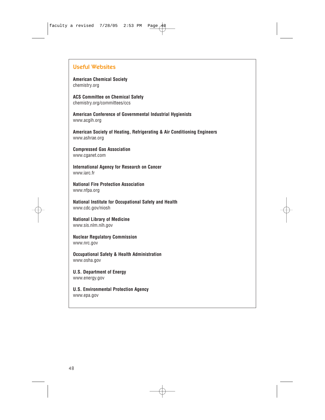#### Useful Websites

**American Chemical Society** chemistry.org

**ACS Committee on Chemical Safety** chemistry.org/committees/ccs

**American Conference of Governmental Industrial Hygienists** www.acgih.org

**American Society of Heating, Refrigerating & Air Conditioning Engineers** www.ashrae.org

**Compressed Gas Association** www.cganet.com

**International Agency for Research on Cancer** www.iarc.fr

**National Fire Protection Association** www.nfpa.org

**National Institute for Occupational Safety and Health** www.cdc.gov/niosh

**National Library of Medicine** www.sis.nlm.nih.gov

**Nuclear Regulatory Commission**  www.nrc.gov

**Occupational Safety & Health Administration** www.osha.gov

**U.S. Department of Energy** www.energy.gov

**U.S. Environmental Protection Agency**  www.epa.gov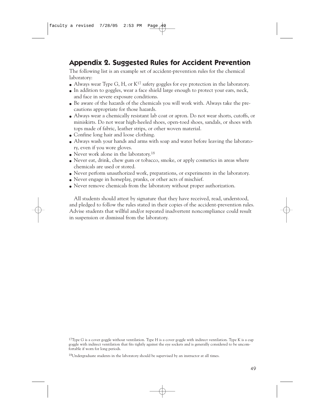# **Appendix 2. Suggested Rules for Accident Prevention**

The following list is an example set of accident-prevention rules for the chemical laboratory:

- Always wear Type G, H, or  $K^{17}$  safety goggles for eye protection in the laboratory.
- $\bullet$  In addition to goggles, wear a face shield large enough to protect your ears, neck, and face in severe exposure conditions.
- Be aware of the hazards of the chemicals you will work with. Always take the precautions appropriate for those hazards.
- Always wear a chemically resistant lab coat or apron. Do not wear shorts, cutoffs, or miniskirts. Do not wear high-heeled shoes, open-toed shoes, sandals, or shoes with tops made of fabric, leather strips, or other woven material.
- Confine long hair and loose clothing.
- Always wash your hands and arms with soap and water before leaving the laboratory, even if you wore gloves.
- $\bullet$  Never work alone in the laboratory.<sup>18</sup>
- Never eat, drink, chew gum or tobacco, smoke, or apply cosmetics in areas where chemicals are used or stored.
- Never perform unauthorized work, preparations, or experiments in the laboratory.
- Never engage in horseplay, pranks, or other acts of mischief.
- Never remove chemicals from the laboratory without proper authorization.

All students should attest by signature that they have received, read, understood, and pledged to follow the rules stated in their copies of the accident-prevention rules. Advise students that willful and/or repeated inadvertent noncompliance could result in suspension or dismissal from the laboratory.

 $17$ Type G is a cover goggle without ventilation. Type H is a cover goggle with indirect ventilation. Type K is a cup goggle with indirect ventilation that fits tightly against the eye sockets and is generally considered to be uncomfortable if worn for long periods.

<sup>18</sup>Undergraduate students in the laboratory should be supervised by an instructor at all times.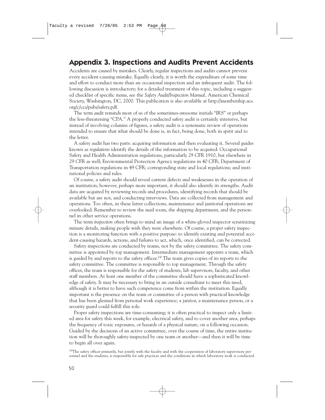## **Appendix 3. Inspections and Audits Prevent Accidents**

Accidents are caused by mistakes. Clearly, regular inspections and audits cannot prevent every accident-causing mistake. Equally clearly, it is worth the expenditure of some time and effort to conduct more than an occasional inspection and an infrequent audit. The following discussion is introductory; for a detailed treatment of this topic, including a suggested checklist of specific items, see the *Safety Audit/Inspection Manual,* American Chemical Society, Washington, DC, 2000. This publication is also available at http://membership.acs. org/c/ccs/pubs/safety.pdf.

The term *audit* reminds most of us of the sometimes-awesome initials "IRS" or perhaps the less-threatening "CPA." A properly conducted safety audit is certainly intensive, but instead of involving columns of figures, a safety audit is a systematic review of operations intended to ensure that what should be done is, in fact, being done, both in spirit and to the letter.

A safety audit has two parts: acquiring information and then evaluating it. Several guides known as *regulations* identify the details of the information to be acquired: Occupational Safety and Health Administration regulations, particularly 29 CFR 1910, but elsewhere in 29 CFR as well; Environmental Protection Agency regulations in 40 CFR; Department of Transportation regulations in 49 CFR; corresponding state and local regulations; and institutional policies and rules.

Of course, a safety audit should reveal current defects and weaknesses in the operation of an institution; however, perhaps more important, it should also identify its strengths. Audit data are acquired by reviewing records and procedures, identifying records that should be available but are not, and conducting interviews. Data are collected from management and operations. Too often, in these latter collections, maintenance and janitorial operations are overlooked. Remember to review the mail room, the shipping department, and the personnel in other service operations.

The term *inspection* often brings to mind an image of a white-gloved inspector scrutinizing minute details, making people wish they were elsewhere. Of course, a proper safety inspection is a monitoring function with a positive purpose: to identify existing and potential accident-causing hazards, actions, and failures to act, which, once identified, can be corrected.

Safety inspections are conducted by teams, not by the safety committee. The safety committee is appointed by top management. Intermediate management appoints a team, which is guided by and reports to the safety officer.<sup>19</sup> The team gives copies of its reports to the safety committee. The committee is responsible to top management. Through the safety officer, the team is responsible for the safety of students, lab supervisors, faculty, and other staff members. At least one member of the committee should have a sophisticated knowledge of safety. It may be necessary to bring in an outside consultant to meet this need, although it is better to have such competence come from within the institution. Equally important is the presence on the team or committee of a person with practical knowledge that has been gleaned from personal work experience; a janitor, a maintenance person, or a security guard could fulfill this role.

Proper safety inspections are time-consuming; it is often practical to inspect only a limited area for safety this week, for example, electrical safety, and to cover another area, perhaps the frequency of toxic exposures, or hazards of a physical nature, on a following occasion. Guided by the decisions of an active committee, over the course of time, the entire institution will be thoroughly safety-inspected by one team or another—and then it will be time to begin all over again.

<sup>19</sup>The safety officer primarily, but jointly with the faculty and with the cooperation of laboratory supervisory personnel and the students, is responsible for safe practices and the conditions in which laboratory work is conducted.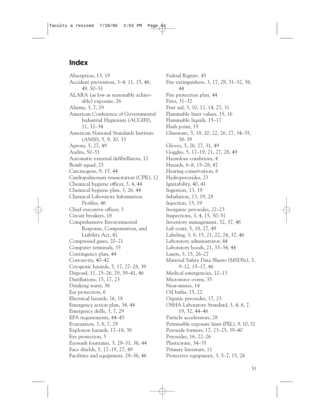## **Index**

Absorption, 13, 19 Accident prevention, 3–4, 11, 15, 46, 49, 50–51 ALARA (as low as reasonably achievable) exposure, 26 Alarms, 3, 7, 29 American Conference of Governmental Industrial Hygienists (ACGIH), 11, 32–34 American National Standards Institute (ANSI), 5, 9, 30, 33 Aprons, 5, 27, 49 Audits, 50–51 Automatic external defibrillators, 12 Bomb squad, 25 Carcinogens, 9, 15, 44 Cardiopulmonary resuscitation (CPR), 12 Chemical hygiene officer, 3, 4, 44 Chemical hygiene plan, 3, 26, 44 Chemical Laboratory Information Profiles, 46 Chief executive officer, 3 Circuit breakers, 18 Comprehensive Environmental Response, Compensation, and Liability Act, 41 Compressed gases, 20–21 Computer terminals, 35 Contingency plan, 44 Corrosivity, 40–42 Cryogenic hazards, 5, 17, 27–28, 39 Disposal, 11, 25–26, 29, 39–41, 46 Distillations, 15, 17, 23 Drinking water, 36 Ear protection, 6 Electrical hazards, 16, 18 Emergency action plan, 34, 44 Emergency drills, 3, 7, 29 EPA requirements, 44–45 Evacuation, 3, 6, 7, 29 Explosion hazards, 17–18, 38 Eye protection, 5 Eyewash fountains, 3, 29–31, 36, 44 Face shields, 5, 17–19, 27, 49 Facilities and equipment, 29–36, 46

*Federal Register,* 45 Fire extinguishers, 3, 17, 29, 31–32, 38, 44 Fire protection plan, 44 Fires, 31–32 First aid, 3, 10, 12, 14, 27, 31 Flammable limit values, 15, 16 Flammable liquids, 15–17 Flash point, 15 Glassware, 5, 18, 20, 22, 26, 27, 34–35, 38–39 Gloves, 5, 26, 27, 31, 49 Goggles, 5, 17–19, 21, 27, 28, 49 Hazardous conditions, 4 Hazards, 6–8, 15–28, 47 Hearing conservation, 6 Hydroperoxides, 23 Ignitability, 40, 41 Ingestion, 13, 19 Inhalation, 13, 19, 28 Injection, 13, 19 Inorganic peroxides, 22–23 Inspections, 3, 4, 15, 50–51 Inventory management, 32, 37, 46 Lab coats, 5, 18, 27, 49 Labeling, 3, 8, 15, 21, 22, 24, 37, 46 Laboratory administrator, 44 Laboratory hoods, 21, 33–34, 44 Lasers, 5, 15, 26–27 Material Safety Data Sheets (MSDSs), 3, 9–12, 15–17, 46 Medical emergencies, 12–13 Microwave ovens, 35 Near-misses, 14 Oil baths, 15, 22 Organic peroxides, 17, 23 OSHA Laboratory Standard, 3, 4, 6, 7, 19, 32, 44–46 Particle accelerators, 28 Permissible exposure limit (PEL), 9, 10, 32 Peroxide formers, 17, 23–25, 39–40 Peroxides, 16, 22–26 Plasticware, 34–35 Primary literature, 11 Protective equipment, 3, 5–7, 15, 26